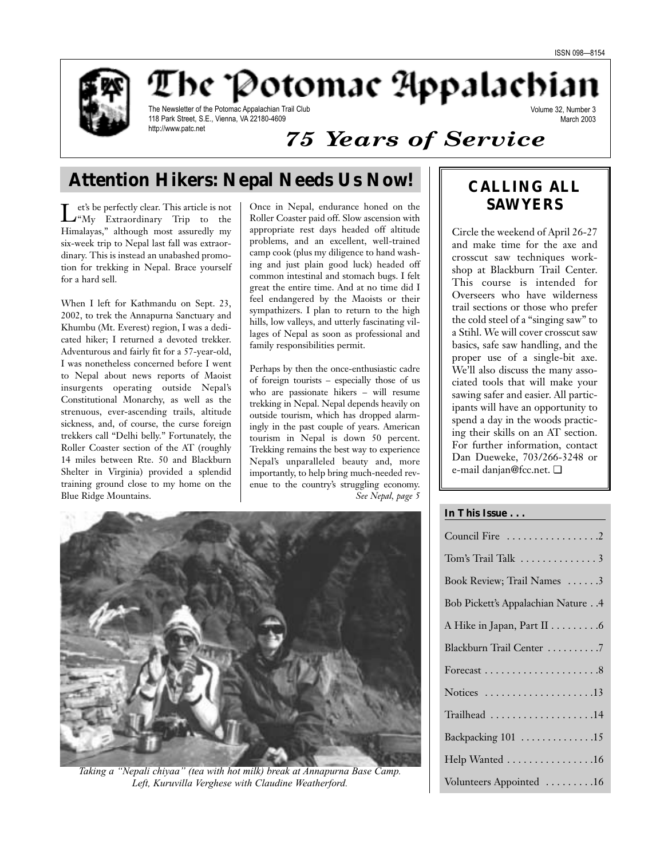Volume 32, Number 3 March 2003



The Potomac Appalachia

The Newsletter of the Potomac Appalachian Trail Club 118 Park Street, S.E., Vienna, VA 22180-4609 http://www.patc.net

# *75 Years of Service*

# **Attention Hikers: Nepal Needs Us Now!**  $\|\cdot\|$  CALLING ALL

Let's be perfectly clear. This article is not<br>
"My Extraordinary Trip to the Himalayas," although most assuredly my six-week trip to Nepal last fall was extraordinary. This is instead an unabashed promotion for trekking in Nepal. Brace yourself for a hard sell.

When I left for Kathmandu on Sept. 23, 2002, to trek the Annapurna Sanctuary and Khumbu (Mt. Everest) region, I was a dedicated hiker; I returned a devoted trekker. Adventurous and fairly fit for a 57-year-old, I was nonetheless concerned before I went to Nepal about news reports of Maoist insurgents operating outside Nepal's Constitutional Monarchy, as well as the strenuous, ever-ascending trails, altitude sickness, and, of course, the curse foreign trekkers call "Delhi belly." Fortunately, the Roller Coaster section of the AT (roughly 14 miles between Rte. 50 and Blackburn Shelter in Virginia) provided a splendid training ground close to my home on the Blue Ridge Mountains.

Once in Nepal, endurance honed on the Roller Coaster paid off. Slow ascension with appropriate rest days headed off altitude problems, and an excellent, well-trained camp cook (plus my diligence to hand washing and just plain good luck) headed off common intestinal and stomach bugs. I felt great the entire time. And at no time did I feel endangered by the Maoists or their sympathizers. I plan to return to the high hills, low valleys, and utterly fascinating villages of Nepal as soon as professional and family responsibilities permit.

Perhaps by then the once-enthusiastic cadre of foreign tourists – especially those of us who are passionate hikers – will resume trekking in Nepal. Nepal depends heavily on outside tourism, which has dropped alarmingly in the past couple of years. American tourism in Nepal is down 50 percent. Trekking remains the best way to experience Nepal's unparalleled beauty and, more importantly, to help bring much-needed revenue to the country's struggling economy. *See Nepal, page 5*



*Taking a "Nepali chiyaa" (tea with hot milk) break at Annapurna Base Camp. Left, Kuruvilla Verghese with Claudine Weatherford.* 

# **SAWYERS**

Circle the weekend of April 26-27 and make time for the axe and crosscut saw techniques workshop at Blackburn Trail Center. This course is intended for Overseers who have wilderness trail sections or those who prefer the cold steel of a "singing saw" to a Stihl. We will cover crosscut saw basics, safe saw handling, and the proper use of a single-bit axe. We'll also discuss the many associated tools that will make your sawing safer and easier. All participants will have an opportunity to spend a day in the woods practicing their skills on an AT section. For further information, contact Dan Dueweke, 703/266-3248 or e-mail danjan@fcc.net. ❏

## **In This Issue . . .**

| Council Fire 2                     |
|------------------------------------|
|                                    |
| Book Review; Trail Names 3         |
| Bob Pickett's Appalachian Nature 4 |
| A Hike in Japan, Part II 6         |
| Blackburn Trail Center 7           |
|                                    |
| Notices 13                         |
| Trailhead 14                       |
| Backpacking 101 15                 |
| Help Wanted 16                     |
| Volunteers Appointed 16            |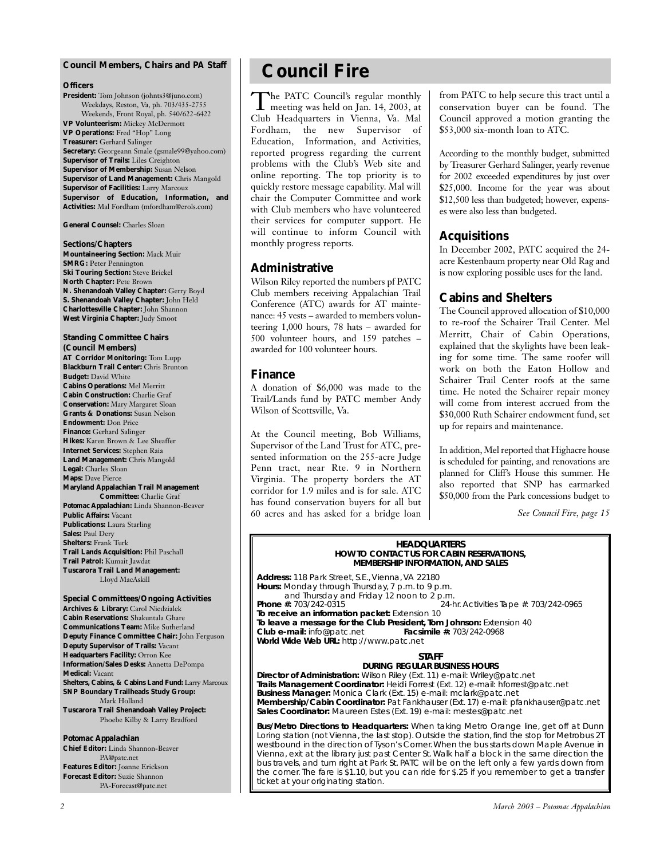## **Council Members, Chairs and** *PA* **Staff**

#### **Officers**

**President:** Tom Johnson (johnts3@juno.com) Weekdays, Reston, Va, ph. 703/435-2755 Weekends, Front Royal, ph. 540/622-6422 **VP Volunteerism:** Mickey McDermott **VP Operations:** Fred "Hop" Long **Treasurer:** Gerhard Salinger **Secretary:** Georgeann Smale (gsmale99@yahoo.com) **Supervisor of Trails:** Liles Creighton **Supervisor of Membership:** Susan Nelson **Supervisor of Land Management:** Chris Mangold **Supervisor of Facilities:** Larry Marcoux **Supervisor of Education, Information, and Activities:** Mal Fordham (mfordham@erols.com)

**General Counsel:** Charles Sloan

**Sections/Chapters Mountaineering Section:** Mack Muir **SMRG: Peter Pennington Ski Touring Section: Steve Brickel North Chapter:** Pete Brown **N. Shenandoah Valley Chapter:** Gerry Boyd **S. Shenandoah Valley Chapter:** John Held **Charlottesville Chapter:** John Shannon **West Virginia Chapter:** Judy Smoot

**Standing Committee Chairs (Council Members) AT Corridor Monitoring:** Tom Lupp **Blackburn Trail Center:** Chris Brunton **Budget:** David White **Cabins Operations:** Mel Merritt **Cabin Construction:** Charlie Graf **Conservation:** Mary Margaret Sloan **Grants & Donations:** Susan Nelson **Endowment:** Don Price **Finance:** Gerhard Salinger **Hikes:** Karen Brown & Lee Sheaffer **Internet Services:** Stephen Raia **Land Management:** Chris Mangold **Legal:** Charles Sloan **Maps:** Dave Pierce **Maryland Appalachian Trail Management Committee:** Charlie Graf *Potomac Appalachian:* Linda Shannon-Beaver **Public Affairs:** Vacant **Publications:** Laura Starling **Sales:** Paul Dery **Shelters:** Frank Turk **Trail Lands Acquisition:** Phil Paschall **Trail Patrol:** Kumait Jawdat **Tuscarora Trail Land Management:**

**Special Committees/Ongoing Activities Archives & Library:** Carol Niedzialek **Cabin Reservations:** Shakuntala Ghare **Communications Team:** Mike Sutherland **Deputy Finance Committee Chair:** John Ferguson **Deputy Supervisor of Trails:** Vacant **Headquarters Facility:** Orron Kee **Information/Sales Desks:** Annetta DePompa **Medical:** Vacant **Shelters, Cabins, & Cabins Land Fund:** Larry Marcoux **SNP Boundary Trailheads Study Group:** Mark Holland **Tuscarora Trail Shenandoah Valley Project:** Phoebe Kilby & Larry Bradford

Lloyd MacAskill

### *Potomac Appalachian*

**Chief Editor:** Linda Shannon-Beaver PA@patc.net **Features Editor:** Joanne Erickson **Forecast Editor:** Suzie Shannon PA-Forecast@patc.net

# **Council Fire**

The PATC Council's regular monthly<br>meeting was held on Jan. 14, 2003, at Club Headquarters in Vienna, Va. Mal Fordham, the new Supervisor of Education, Information, and Activities, reported progress regarding the current problems with the Club's Web site and online reporting. The top priority is to quickly restore message capability. Mal will chair the Computer Committee and work with Club members who have volunteered their services for computer support. He will continue to inform Council with monthly progress reports.

## **Administrative**

Wilson Riley reported the numbers pf PATC Club members receiving Appalachian Trail Conference (ATC) awards for AT maintenance: 45 vests – awarded to members volunteering 1,000 hours, 78 hats – awarded for 500 volunteer hours, and 159 patches – awarded for 100 volunteer hours.

## **Finance**

A donation of \$6,000 was made to the Trail/Lands fund by PATC member Andy Wilson of Scottsville, Va.

At the Council meeting, Bob Williams, Supervisor of the Land Trust for ATC, presented information on the 255-acre Judge Penn tract, near Rte. 9 in Northern Virginia. The property borders the AT corridor for 1.9 miles and is for sale. ATC has found conservation buyers for all but 60 acres and has asked for a bridge loan from PATC to help secure this tract until a conservation buyer can be found. The Council approved a motion granting the \$53,000 six-month loan to ATC.

According to the monthly budget, submitted by Treasurer Gerhard Salinger, yearly revenue for 2002 exceeded expenditures by just over \$25,000. Income for the year was about \$12,500 less than budgeted; however, expenses were also less than budgeted.

## **Acquisitions**

In December 2002, PATC acquired the 24 acre Kestenbaum property near Old Rag and is now exploring possible uses for the land.

## **Cabins and Shelters**

The Council approved allocation of \$10,000 to re-roof the Schairer Trail Center. Mel Merritt, Chair of Cabin Operations, explained that the skylights have been leaking for some time. The same roofer will work on both the Eaton Hollow and Schairer Trail Center roofs at the same time. He noted the Schairer repair money will come from interest accrued from the \$30,000 Ruth Schairer endowment fund, set up for repairs and maintenance.

In addition, Mel reported that Highacre house is scheduled for painting, and renovations are planned for Cliff's House this summer. He also reported that SNP has earmarked \$50,000 from the Park concessions budget to

*See Council Fire, page 15*

#### **HEADQUARTERS HOW TO CONTACT US FOR CABIN RESERVATIONS, MEMBERSHIP INFORMATION, AND SALES**

**Address:** 118 Park Street, S.E., Vienna, VA 22180 **Hours:** Monday through Thursday, 7 p.m. to 9 p.m. and Thursday and Friday 12 noon to 2 p.m.<br>Phone #: 703/242-0315 24-h <sup>2</sup> 24-hr. Activities Tape #: 703/242-0965 **To receive an information packet:** Extension 10 **To leave a message for the Club President, Tom Johnson:** Extension 40<br>**Club e-mail:** info@patc.net **Facsimile #:** 703/242-0968 **Club e-mail:** info@patc.net **World Wide Web URL:** http://www.patc.net

### **STAFF**

**DURING REGULAR BUSINESS HOURS Director of Administration:** Wilson Riley (Ext. 11) e-mail: Wriley@patc.net **Trails Management Coordinator:** Heidi Forrest (Ext. 12) e-mail: hforrest@patc.net **Business Manager:** Monica Clark (Ext. 15) e-mail: mclark@patc.net **Membership/Cabin Coordinator:** Pat Fankhauser (Ext. 17) e-mail: pfankhauser@patc.net

**Sales Coordinator:** Maureen Estes (Ext. 19) e-mail: mestes@patc.net

**Bus/Metro Directions to Headquarters:** When taking Metro Orange line, get off at Dunn Loring station (not Vienna, the last stop). Outside the station, find the stop for Metrobus 2T westbound in the direction of Tyson's Corner.When the bus starts down Maple Avenue in Vienna, exit at the library just past Center St. Walk half a block in the same direction the bus travels, and turn right at Park St. PATC will be on the left only a few yards down from the corner. The fare is \$1.10, but you can ride for \$.25 if you remember to get a transfer ticket at your originating station.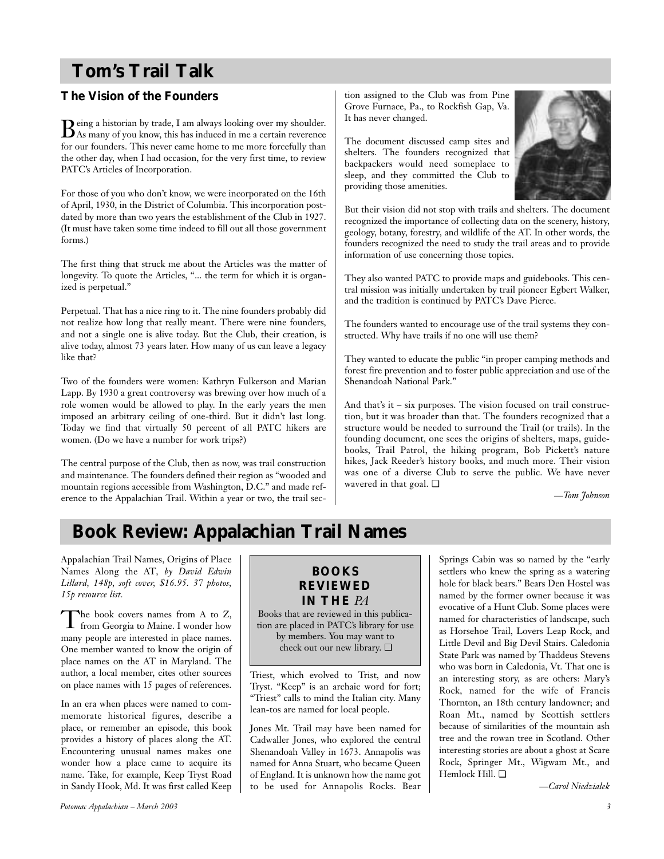# **Tom's Trail Talk**

# **The Vision of the Founders**

Being a historian by trade, I am always looking over my shoulder. As many of you know, this has induced in me a certain reverence for our founders. This never came home to me more forcefully than the other day, when I had occasion, for the very first time, to review PATC's Articles of Incorporation.

For those of you who don't know, we were incorporated on the 16th of April, 1930, in the District of Columbia. This incorporation postdated by more than two years the establishment of the Club in 1927. (It must have taken some time indeed to fill out all those government forms.)

The first thing that struck me about the Articles was the matter of longevity. To quote the Articles, "... the term for which it is organized is perpetual."

Perpetual. That has a nice ring to it. The nine founders probably did not realize how long that really meant. There were nine founders, and not a single one is alive today. But the Club, their creation, is alive today, almost 73 years later. How many of us can leave a legacy like that?

Two of the founders were women: Kathryn Fulkerson and Marian Lapp. By 1930 a great controversy was brewing over how much of a role women would be allowed to play. In the early years the men imposed an arbitrary ceiling of one-third. But it didn't last long. Today we find that virtually 50 percent of all PATC hikers are women. (Do we have a number for work trips?)

The central purpose of the Club, then as now, was trail construction and maintenance. The founders defined their region as "wooded and mountain regions accessible from Washington, D.C." and made reference to the Appalachian Trail. Within a year or two, the trail section assigned to the Club was from Pine Grove Furnace, Pa., to Rockfish Gap, Va. It has never changed.

The document discussed camp sites and shelters. The founders recognized that backpackers would need someplace to sleep, and they committed the Club to providing those amenities.



But their vision did not stop with trails and shelters. The document recognized the importance of collecting data on the scenery, history, geology, botany, forestry, and wildlife of the AT. In other words, the founders recognized the need to study the trail areas and to provide information of use concerning those topics.

They also wanted PATC to provide maps and guidebooks. This central mission was initially undertaken by trail pioneer Egbert Walker, and the tradition is continued by PATC's Dave Pierce.

The founders wanted to encourage use of the trail systems they constructed. Why have trails if no one will use them?

They wanted to educate the public "in proper camping methods and forest fire prevention and to foster public appreciation and use of the Shenandoah National Park."

And that's it – six purposes. The vision focused on trail construction, but it was broader than that. The founders recognized that a structure would be needed to surround the Trail (or trails). In the founding document, one sees the origins of shelters, maps, guidebooks, Trail Patrol, the hiking program, Bob Pickett's nature hikes, Jack Reeder's history books, and much more. Their vision was one of a diverse Club to serve the public. We have never wavered in that goal. ❏

*—Tom Johnson*

# **Book Review: Appalachian Trail Names**

Appalachian Trail Names, Origins of Place Names Along the AT*, by David Edwin Lillard, 148p, soft cover, \$16.95. 37 photos, 15p resource list.*

The book covers names from A to Z, from Georgia to Maine. I wonder how many people are interested in place names. One member wanted to know the origin of place names on the AT in Maryland. The author, a local member, cites other sources on place names with 15 pages of references.

In an era when places were named to commemorate historical figures, describe a place, or remember an episode, this book provides a history of places along the AT. Encountering unusual names makes one wonder how a place came to acquire its name. Take, for example, Keep Tryst Road in Sandy Hook, Md. It was first called Keep

## **BOOKS REVIEWED IN THE** *PA*

Books that are reviewed in this publication are placed in PATC's library for use by members. You may want to check out our new library. ❏

Triest, which evolved to Trist, and now Tryst. "Keep" is an archaic word for fort; "Triest" calls to mind the Italian city. Many lean-tos are named for local people.

Jones Mt. Trail may have been named for Cadwaller Jones, who explored the central Shenandoah Valley in 1673. Annapolis was named for Anna Stuart, who became Queen of England. It is unknown how the name got to be used for Annapolis Rocks. Bear

Springs Cabin was so named by the "early settlers who knew the spring as a watering hole for black bears." Bears Den Hostel was named by the former owner because it was evocative of a Hunt Club. Some places were named for characteristics of landscape, such as Horsehoe Trail, Lovers Leap Rock, and Little Devil and Big Devil Stairs. Caledonia State Park was named by Thaddeus Stevens who was born in Caledonia, Vt. That one is an interesting story, as are others: Mary's Rock, named for the wife of Francis Thornton, an 18th century landowner; and Roan Mt., named by Scottish settlers because of similarities of the mountain ash tree and the rowan tree in Scotland. Other interesting stories are about a ghost at Scare Rock, Springer Mt., Wigwam Mt., and Hemlock Hill. ❏

*—Carol Niedzialek*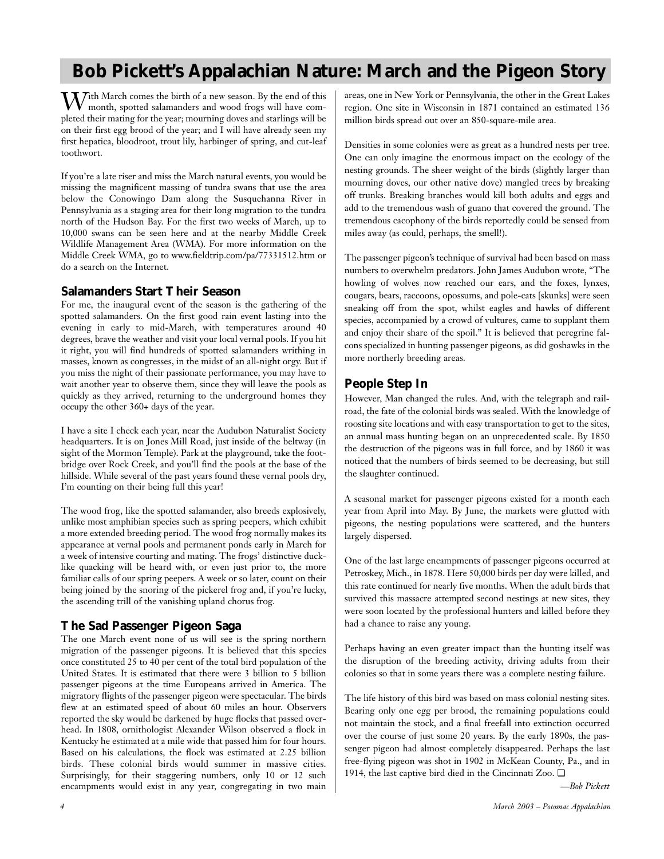# **Bob Pickett's Appalachian Nature: March and the Pigeon Story**

With March comes the birth of a new season. By the end of this month, spotted salamanders and wood frogs will have completed their mating for the year; mourning doves and starlings will be on their first egg brood of the year; and I will have already seen my first hepatica, bloodroot, trout lily, harbinger of spring, and cut-leaf toothwort.

If you're a late riser and miss the March natural events, you would be missing the magnificent massing of tundra swans that use the area below the Conowingo Dam along the Susquehanna River in Pennsylvania as a staging area for their long migration to the tundra north of the Hudson Bay. For the first two weeks of March, up to 10,000 swans can be seen here and at the nearby Middle Creek Wildlife Management Area (WMA). For more information on the Middle Creek WMA, go to www.fieldtrip.com/pa/77331512.htm or do a search on the Internet.

## **Salamanders Start Their Season**

For me, the inaugural event of the season is the gathering of the spotted salamanders. On the first good rain event lasting into the evening in early to mid-March, with temperatures around 40 degrees, brave the weather and visit your local vernal pools. If you hit it right, you will find hundreds of spotted salamanders writhing in masses, known as congresses, in the midst of an all-night orgy. But if you miss the night of their passionate performance, you may have to wait another year to observe them, since they will leave the pools as quickly as they arrived, returning to the underground homes they occupy the other 360+ days of the year.

I have a site I check each year, near the Audubon Naturalist Society headquarters. It is on Jones Mill Road, just inside of the beltway (in sight of the Mormon Temple). Park at the playground, take the footbridge over Rock Creek, and you'll find the pools at the base of the hillside. While several of the past years found these vernal pools dry, I'm counting on their being full this year!

The wood frog, like the spotted salamander, also breeds explosively, unlike most amphibian species such as spring peepers, which exhibit a more extended breeding period. The wood frog normally makes its appearance at vernal pools and permanent ponds early in March for a week of intensive courting and mating. The frogs' distinctive ducklike quacking will be heard with, or even just prior to, the more familiar calls of our spring peepers. A week or so later, count on their being joined by the snoring of the pickerel frog and, if you're lucky, the ascending trill of the vanishing upland chorus frog.

# **The Sad Passenger Pigeon Saga**

The one March event none of us will see is the spring northern migration of the passenger pigeons. It is believed that this species once constituted 25 to 40 per cent of the total bird population of the United States. It is estimated that there were 3 billion to 5 billion passenger pigeons at the time Europeans arrived in America. The migratory flights of the passenger pigeon were spectacular. The birds flew at an estimated speed of about 60 miles an hour. Observers reported the sky would be darkened by huge flocks that passed overhead. In 1808, ornithologist Alexander Wilson observed a flock in Kentucky he estimated at a mile wide that passed him for four hours. Based on his calculations, the flock was estimated at 2.25 billion birds. These colonial birds would summer in massive cities. Surprisingly, for their staggering numbers, only 10 or 12 such encampments would exist in any year, congregating in two main areas, one in New York or Pennsylvania, the other in the Great Lakes region. One site in Wisconsin in 1871 contained an estimated 136 million birds spread out over an 850-square-mile area.

Densities in some colonies were as great as a hundred nests per tree. One can only imagine the enormous impact on the ecology of the nesting grounds. The sheer weight of the birds (slightly larger than mourning doves, our other native dove) mangled trees by breaking off trunks. Breaking branches would kill both adults and eggs and add to the tremendous wash of guano that covered the ground. The tremendous cacophony of the birds reportedly could be sensed from miles away (as could, perhaps, the smell!).

The passenger pigeon's technique of survival had been based on mass numbers to overwhelm predators. John James Audubon wrote, "The howling of wolves now reached our ears, and the foxes, lynxes, cougars, bears, raccoons, opossums, and pole-cats [skunks] were seen sneaking off from the spot, whilst eagles and hawks of different species, accompanied by a crowd of vultures, came to supplant them and enjoy their share of the spoil." It is believed that peregrine falcons specialized in hunting passenger pigeons, as did goshawks in the more northerly breeding areas.

# **People Step In**

However, Man changed the rules. And, with the telegraph and railroad, the fate of the colonial birds was sealed. With the knowledge of roosting site locations and with easy transportation to get to the sites, an annual mass hunting began on an unprecedented scale. By 1850 the destruction of the pigeons was in full force, and by 1860 it was noticed that the numbers of birds seemed to be decreasing, but still the slaughter continued.

A seasonal market for passenger pigeons existed for a month each year from April into May. By June, the markets were glutted with pigeons, the nesting populations were scattered, and the hunters largely dispersed.

One of the last large encampments of passenger pigeons occurred at Petroskey, Mich., in 1878. Here 50,000 birds per day were killed, and this rate continued for nearly five months. When the adult birds that survived this massacre attempted second nestings at new sites, they were soon located by the professional hunters and killed before they had a chance to raise any young.

Perhaps having an even greater impact than the hunting itself was the disruption of the breeding activity, driving adults from their colonies so that in some years there was a complete nesting failure.

The life history of this bird was based on mass colonial nesting sites. Bearing only one egg per brood, the remaining populations could not maintain the stock, and a final freefall into extinction occurred over the course of just some 20 years. By the early 1890s, the passenger pigeon had almost completely disappeared. Perhaps the last free-flying pigeon was shot in 1902 in McKean County, Pa., and in 1914, the last captive bird died in the Cincinnati Zoo. ❏

*—Bob Pickett*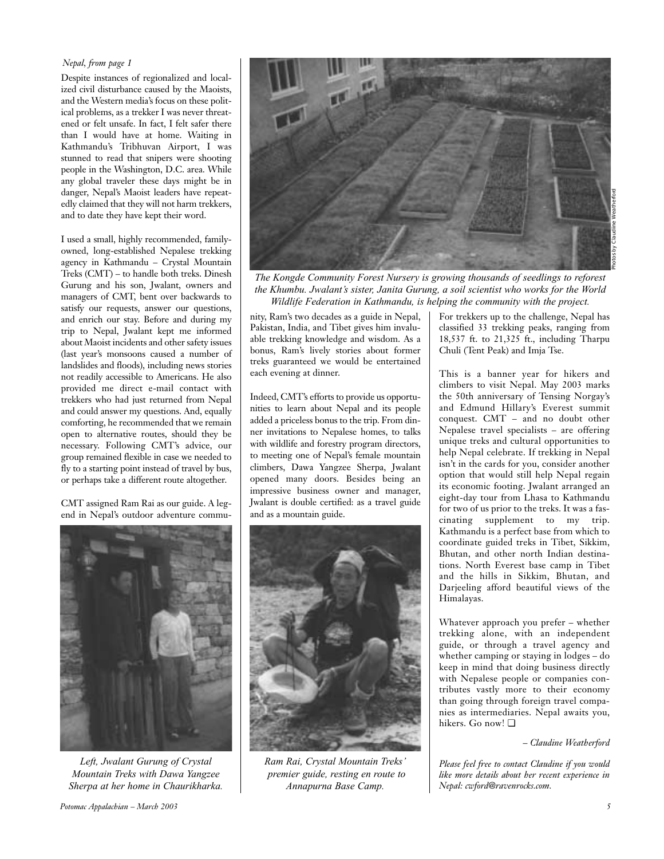## *Nepal, from page 1*

Despite instances of regionalized and localized civil disturbance caused by the Maoists, and the Western media's focus on these political problems, as a trekker I was never threatened or felt unsafe. In fact, I felt safer there than I would have at home. Waiting in Kathmandu's Tribhuvan Airport, I was stunned to read that snipers were shooting people in the Washington, D.C. area. While any global traveler these days might be in danger, Nepal's Maoist leaders have repeatedly claimed that they will not harm trekkers, and to date they have kept their word.

I used a small, highly recommended, familyowned, long-established Nepalese trekking agency in Kathmandu – Crystal Mountain Treks (CMT) – to handle both treks. Dinesh Gurung and his son, Jwalant, owners and managers of CMT, bent over backwards to satisfy our requests, answer our questions, and enrich our stay. Before and during my trip to Nepal, Jwalant kept me informed about Maoist incidents and other safety issues (last year's monsoons caused a number of landslides and floods), including news stories not readily accessible to Americans. He also provided me direct e-mail contact with trekkers who had just returned from Nepal and could answer my questions. And, equally comforting, he recommended that we remain open to alternative routes, should they be necessary. Following CMT's advice, our group remained flexible in case we needed to fly to a starting point instead of travel by bus, or perhaps take a different route altogether.

CMT assigned Ram Rai as our guide. A legend in Nepal's outdoor adventure commu-



*Left, Jwalant Gurung of Crystal Mountain Treks with Dawa Yangzee Sherpa at her home in Chaurikharka.*



*The Kongde Community Forest Nursery is growing thousands of seedlings to reforest the Khumbu. Jwalant's sister, Janita Gurung, a soil scientist who works for the World Wildlife Federation in Kathmandu, is helping the community with the project.*

nity, Ram's two decades as a guide in Nepal, Pakistan, India, and Tibet gives him invaluable trekking knowledge and wisdom. As a bonus, Ram's lively stories about former treks guaranteed we would be entertained each evening at dinner.

Indeed, CMT's efforts to provide us opportunities to learn about Nepal and its people added a priceless bonus to the trip. From dinner invitations to Nepalese homes, to talks with wildlife and forestry program directors, to meeting one of Nepal's female mountain climbers, Dawa Yangzee Sherpa, Jwalant opened many doors. Besides being an impressive business owner and manager, Jwalant is double certified: as a travel guide and as a mountain guide.



*Ram Rai, Crystal Mountain Treks' premier guide, resting en route to Annapurna Base Camp.* 

For trekkers up to the challenge, Nepal has classified 33 trekking peaks, ranging from 18,537 ft. to 21,325 ft., including Tharpu Chuli (Tent Peak) and Imja Tse.

This is a banner year for hikers and climbers to visit Nepal. May 2003 marks the 50th anniversary of Tensing Norgay's and Edmund Hillary's Everest summit conquest. CMT – and no doubt other Nepalese travel specialists – are offering unique treks and cultural opportunities to help Nepal celebrate. If trekking in Nepal isn't in the cards for you, consider another option that would still help Nepal regain its economic footing. Jwalant arranged an eight-day tour from Lhasa to Kathmandu for two of us prior to the treks. It was a fascinating supplement to my trip. Kathmandu is a perfect base from which to coordinate guided treks in Tibet, Sikkim, Bhutan, and other north Indian destinations. North Everest base camp in Tibet and the hills in Sikkim, Bhutan, and Darjeeling afford beautiful views of the Himalayas.

Whatever approach you prefer – whether trekking alone, with an independent guide, or through a travel agency and whether camping or staying in lodges – do keep in mind that doing business directly with Nepalese people or companies contributes vastly more to their economy than going through foreign travel companies as intermediaries. Nepal awaits you, hikers. Go now! ❏

*– Claudine Weatherford*

*Please feel free to contact Claudine if you would like more details about her recent experience in Nepal: cwford@ravenrocks.com.*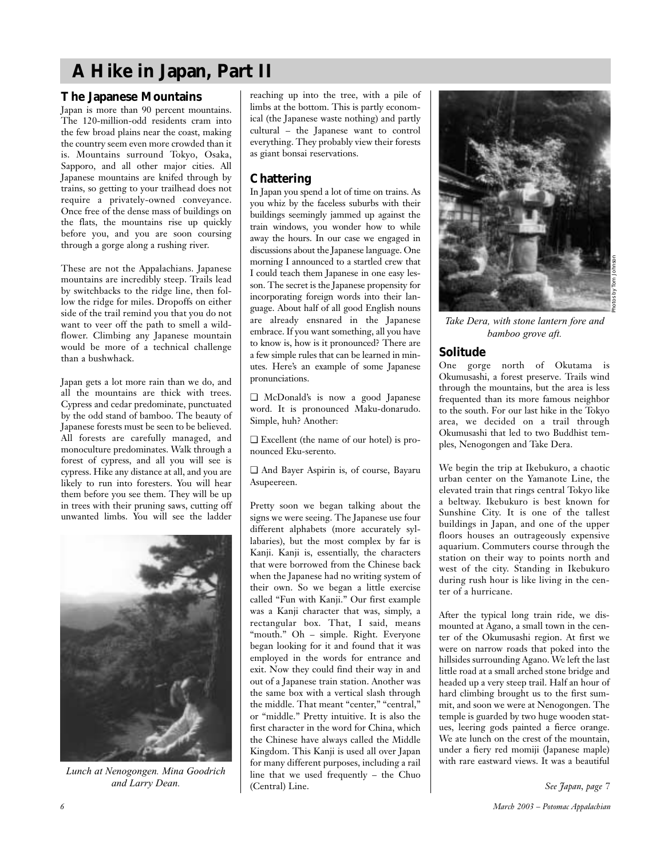# **A Hike in Japan, Part II**

## **The Japanese Mountains**

Japan is more than 90 percent mountains. The 120-million-odd residents cram into the few broad plains near the coast, making the country seem even more crowded than it is. Mountains surround Tokyo, Osaka, Sapporo, and all other major cities. All Japanese mountains are knifed through by trains, so getting to your trailhead does not require a privately-owned conveyance. Once free of the dense mass of buildings on the flats, the mountains rise up quickly before you, and you are soon coursing through a gorge along a rushing river.

These are not the Appalachians. Japanese mountains are incredibly steep. Trails lead by switchbacks to the ridge line, then follow the ridge for miles. Dropoffs on either side of the trail remind you that you do not want to veer off the path to smell a wildflower. Climbing any Japanese mountain would be more of a technical challenge than a bushwhack.

Japan gets a lot more rain than we do, and all the mountains are thick with trees. Cypress and cedar predominate, punctuated by the odd stand of bamboo. The beauty of Japanese forests must be seen to be believed. All forests are carefully managed, and monoculture predominates. Walk through a forest of cypress, and all you will see is cypress. Hike any distance at all, and you are likely to run into foresters. You will hear them before you see them. They will be up in trees with their pruning saws, cutting off unwanted limbs. You will see the ladder



*Lunch at Nenogongen. Mina Goodrich*

reaching up into the tree, with a pile of limbs at the bottom. This is partly economical (the Japanese waste nothing) and partly cultural – the Japanese want to control everything. They probably view their forests as giant bonsai reservations.

# **Chattering**

In Japan you spend a lot of time on trains. As you whiz by the faceless suburbs with their buildings seemingly jammed up against the train windows, you wonder how to while away the hours. In our case we engaged in discussions about the Japanese language. One morning I announced to a startled crew that I could teach them Japanese in one easy lesson. The secret is the Japanese propensity for incorporating foreign words into their language. About half of all good English nouns are already ensnared in the Japanese embrace. If you want something, all you have to know is, how is it pronounced? There are a few simple rules that can be learned in minutes. Here's an example of some Japanese pronunciations.

❏ McDonald's is now a good Japanese word. It is pronounced Maku-donarudo. Simple, huh? Another:

❏ Excellent (the name of our hotel) is pronounced Eku-serento.

❏ And Bayer Aspirin is, of course, Bayaru Asupeereen.

Pretty soon we began talking about the signs we were seeing. The Japanese use four different alphabets (more accurately syllabaries), but the most complex by far is Kanji. Kanji is, essentially, the characters that were borrowed from the Chinese back when the Japanese had no writing system of their own. So we began a little exercise called "Fun with Kanji." Our first example was a Kanji character that was, simply, a rectangular box. That, I said, means "mouth." Oh – simple. Right. Everyone began looking for it and found that it was employed in the words for entrance and exit. Now they could find their way in and out of a Japanese train station. Another was the same box with a vertical slash through the middle. That meant "center," "central," or "middle." Pretty intuitive. It is also the first character in the word for China, which the Chinese have always called the Middle Kingdom. This Kanji is used all over Japan for many different purposes, including a rail line that we used frequently – the Chuo (Central) Line. *and Larry Dean. See Japan, page 7*



*Take Dera, with stone lantern fore and bamboo grove aft.*

# **Solitude**

One gorge north of Okutama is Okumusashi, a forest preserve. Trails wind through the mountains, but the area is less frequented than its more famous neighbor to the south. For our last hike in the Tokyo area, we decided on a trail through Okumusashi that led to two Buddhist temples, Nenogongen and Take Dera.

We begin the trip at Ikebukuro, a chaotic urban center on the Yamanote Line, the elevated train that rings central Tokyo like a beltway. Ikebukuro is best known for Sunshine City. It is one of the tallest buildings in Japan, and one of the upper floors houses an outrageously expensive aquarium. Commuters course through the station on their way to points north and west of the city. Standing in Ikebukuro during rush hour is like living in the center of a hurricane.

After the typical long train ride, we dismounted at Agano, a small town in the center of the Okumusashi region. At first we were on narrow roads that poked into the hillsides surrounding Agano. We left the last little road at a small arched stone bridge and headed up a very steep trail. Half an hour of hard climbing brought us to the first summit, and soon we were at Nenogongen. The temple is guarded by two huge wooden statues, leering gods painted a fierce orange. We ate lunch on the crest of the mountain, under a fiery red momiji (Japanese maple) with rare eastward views. It was a beautiful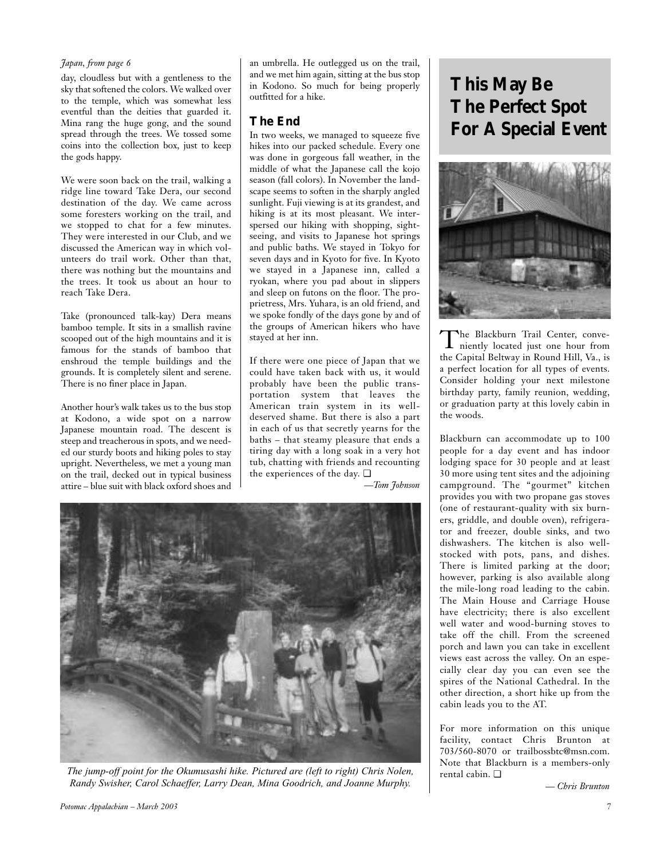## *Japan, from page 6*

day, cloudless but with a gentleness to the sky that softened the colors. We walked over to the temple, which was somewhat less eventful than the deities that guarded it. Mina rang the huge gong, and the sound spread through the trees. We tossed some coins into the collection box, just to keep the gods happy.

We were soon back on the trail, walking a ridge line toward Take Dera, our second destination of the day. We came across some foresters working on the trail, and we stopped to chat for a few minutes. They were interested in our Club, and we discussed the American way in which volunteers do trail work. Other than that, there was nothing but the mountains and the trees. It took us about an hour to reach Take Dera.

Take (pronounced talk-kay) Dera means bamboo temple. It sits in a smallish ravine scooped out of the high mountains and it is famous for the stands of bamboo that enshroud the temple buildings and the grounds. It is completely silent and serene. There is no finer place in Japan.

Another hour's walk takes us to the bus stop at Kodono, a wide spot on a narrow Japanese mountain road. The descent is steep and treacherous in spots, and we needed our sturdy boots and hiking poles to stay upright. Nevertheless, we met a young man on the trail, decked out in typical business attire – blue suit with black oxford shoes and

an umbrella. He outlegged us on the trail, and we met him again, sitting at the bus stop in Kodono. So much for being properly outfitted for a hike.

## **The End**

In two weeks, we managed to squeeze five hikes into our packed schedule. Every one was done in gorgeous fall weather, in the middle of what the Japanese call the kojo season (fall colors). In November the landscape seems to soften in the sharply angled sunlight. Fuji viewing is at its grandest, and hiking is at its most pleasant. We interspersed our hiking with shopping, sightseeing, and visits to Japanese hot springs and public baths. We stayed in Tokyo for seven days and in Kyoto for five. In Kyoto we stayed in a Japanese inn, called a ryokan, where you pad about in slippers and sleep on futons on the floor. The proprietress, Mrs. Yuhara, is an old friend, and we spoke fondly of the days gone by and of the groups of American hikers who have stayed at her inn.

If there were one piece of Japan that we could have taken back with us, it would probably have been the public transportation system that leaves the American train system in its welldeserved shame. But there is also a part in each of us that secretly yearns for the baths – that steamy pleasure that ends a tiring day with a long soak in a very hot tub, chatting with friends and recounting the experiences of the day. ❏

*—Tom Johnson*



*The jump-off point for the Okumusashi hike. Pictured are (left to right) Chris Nolen, Randy Swisher, Carol Schaeffer, Larry Dean, Mina Goodrich, and Joanne Murphy.*

# **This May Be The Perfect Spot For A Special Event**



The Blackburn Trail Center, conve-<br>niently located just one hour from the Capital Beltway in Round Hill, Va., is a perfect location for all types of events. Consider holding your next milestone birthday party, family reunion, wedding, or graduation party at this lovely cabin in the woods.

Blackburn can accommodate up to 100 people for a day event and has indoor lodging space for 30 people and at least 30 more using tent sites and the adjoining campground. The "gourmet" kitchen provides you with two propane gas stoves (one of restaurant-quality with six burners, griddle, and double oven), refrigerator and freezer, double sinks, and two dishwashers. The kitchen is also wellstocked with pots, pans, and dishes. There is limited parking at the door; however, parking is also available along the mile-long road leading to the cabin. The Main House and Carriage House have electricity; there is also excellent well water and wood-burning stoves to take off the chill. From the screened porch and lawn you can take in excellent views east across the valley. On an especially clear day you can even see the spires of the National Cathedral. In the other direction, a short hike up from the cabin leads you to the AT.

For more information on this unique facility, contact Chris Brunton at 703/560-8070 or trailbossbtc@msn.com. Note that Blackburn is a members-only rental cabin. ❏

*— Chris Brunton*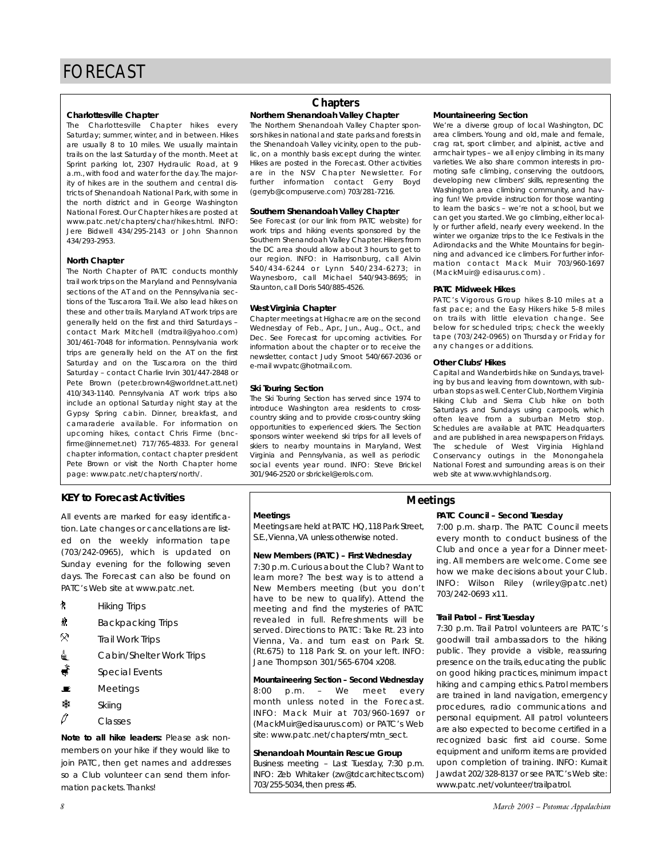## **Charlottesville Chapter**

The Charlottesville Chapter hikes every Saturday; summer, winter, and in between. Hikes are usually 8 to 10 miles. We usually maintain trails on the last Saturday of the month. Meet at Sprint parking lot, 2307 Hydraulic Road, at 9 a.m., with food and water for the day. The majority of hikes are in the southern and central districts of Shenandoah National Park, with some in the north district and in George Washington National Forest. Our Chapter hikes are posted at www.patc.net/chapters/char/hikes.html. INFO: Jere Bidwell 434/295-2143 or John Shannon 434/293-2953.

## **North Chapter**

The North Chapter of PATC conducts monthly trail work trips on the Maryland and Pennsylvania sections of the AT and on the Pennsylvania sections of the Tuscarora Trail. We also lead hikes on these and other trails. Maryland AT work trips are generally held on the first and third Saturdays – contact Mark Mitchell (mdtrail@yahoo.com) 301/461-7048 for information. Pennsylvania work trips are generally held on the AT on the first Saturday and on the Tuscarora on the third Saturday – contact Charlie Irvin 301/447-2848 or Pete Brown (peter.brown4@worldnet.att.net) 410/343-1140. Pennsylvania AT work trips also include an optional Saturday night stay at the Gypsy Spring cabin. Dinner, breakfast, and camaraderie available. For information on upcoming hikes, contact Chris Firme (bncfirme@innernet.net) 717/765-4833. For general chapter information, contact chapter president Pete Brown or visit the North Chapter home page: www.patc.net/chapters/north/.

## **KEY to Forecast Activities**

All events are marked for easy identification. Late changes or cancellations are listed on the weekly information tape (703/242-0965), which is updated on Sunday evening for the following seven days. The Forecast can also be found on PATC's Web site at www.patc.net.

- $\uparrow$  Hiking Trips
- $\frac{1}{10}$  Backpacking Trips
- $\ddot{\circ}$ Trail Work Trips
- △ Cabin/Shelter Work Trips
- $\frac{\ddot{x}}{s}$  Special Events
- $\blacksquare$  Meetings
- **※ Skiing**
- $\mathscr{O}$  Classes

*Note to all hike leaders:* Please ask nonmembers on your hike if they would like to join PATC, then get names and addresses so a Club volunteer can send them information packets. Thanks!

# **Chapters**

## **Northern Shenandoah Valley Chapter**

The Northern Shenandoah Valley Chapter sponsors hikes in national and state parks and forests in the Shenandoah Valley vicinity, open to the public, on a monthly basis except during the winter. Hikes are posted in the Forecast. Other activities are in the NSV Chapter Newsletter. For further information contact Gerry Boyd (gerryb@compuserve.com) 703/281-7216.

## **Southern Shenandoah Valley Chapter**

See Forecast (or our link from PATC website) for work trips and hiking events sponsored by the Southern Shenandoah Valley Chapter. Hikers from the DC area should allow about 3 hours to get to our region. INFO: in Harrisonburg, call Alvin 540/434-6244 or Lynn 540/234-6273; in Waynesboro, call Michael 540/943-8695; in Staunton, call Doris 540/885-4526.

## **West Virginia Chapter**

Chapter meetings at Highacre are on the second Wednesday of Feb., Apr., Jun., Aug., Oct., and Dec. See Forecast for upcoming activities. For information about the chapter or to receive the newsletter, contact Judy Smoot 540/667-2036 or e-mail wvpatc@hotmail.com.

## **Ski Touring Section**

The Ski Touring Section has served since 1974 to introduce Washington area residents to crosscountry skiing and to provide cross-country skiing opportunities to experienced skiers. The Section sponsors winter weekend ski trips for all levels of skiers to nearby mountains in Maryland, West Virginia and Pennsylvania, as well as periodic social events year round. INFO: Steve Brickel 301/946-2520 or sbrickel@erols.com.

## **Mountaineering Section**

We're a diverse group of local Washington, DC area climbers. Young and old, male and female, crag rat, sport climber, and alpinist, active and armchair types – we all enjoy climbing in its many varieties. We also share common interests in promoting safe climbing, conserving the outdoors, developing new climbers' skills, representing the Washington area climbing community, and having fun! We provide instruction for those wanting to learn the basics – we're not a school, but we can get you started. We go climbing, either locally or further afield, nearly every weekend. In the winter we organize trips to the Ice Festivals in the Adirondacks and the White Mountains for beginning and advanced ice climbers. For further information contact Mack Muir 703/960-1697 (MackMuir@ edisaurus.com) .

## **PATC Midweek Hikes**

PATC's Vigorous Group hikes 8-10 miles at a fast pace; and the Easy Hikers hike 5-8 miles on trails with little elevation change. See below for scheduled trips; check the weekly tape (703/242-0965) on Thursday or Friday for any changes or additions.

## **Other Clubs' Hikes**

Capital and Wanderbirds hike on Sundays, traveling by bus and leaving from downtown, with suburban stops as well. Center Club, Northern Virginia Hiking Club and Sierra Club hike on both Saturdays and Sundays using carpools, which often leave from a suburban Metro stop. Schedules are available at PATC Headquarters and are published in area newspapers on Fridays. The schedule of West Virginia Highland Conservancy outings in the Monongahela National Forest and surrounding areas is on their web site at www.wvhighlands.org.

## **Meetings**

Meetings are held at PATC HQ,118 Park Street, S.E.,Vienna,VA unless otherwise noted.

## **New Members (PATC) – First Wednesday**

7:30 p.m. Curious about the Club? Want to learn more? The best way is to attend a New Members meeting (but you don't have to be new to qualify). Attend the meeting and find the mysteries of PATC revealed in full. Refreshments will be served. Directions to PATC: Take Rt. 23 into Vienna, Va. and turn east on Park St. (Rt.675) to 118 Park St. on your left. INFO: Jane Thompson 301/565-6704 x208.

**Mountaineering Section – Second Wednesday** 8:00 p.m. – We meet every month unless noted in the Forecast. INFO: Mack Muir at 703/960-1697 or (MackMuir@edisaurus.com) or PATC's Web site: www.patc.net/chapters/mtn\_sect.

## **Shenandoah Mountain Rescue Group**

Business meeting – Last Tuesday, 7:30 p.m. INFO: Zeb Whitaker (zw@tdcarchitects.com) 703/255-5034, then press #5.

**PATC Council – Second Tuesday Meetings**

> 7:00 p.m. sharp. The PATC Council meets every month to conduct business of the Club and once a year for a Dinner meeting. All members are welcome. Come see how we make decisions about your Club. INFO: Wilson Riley (wriley@patc.net) 703/242-0693 x11.

## **Trail Patrol – First Tuesday**

7:30 p.m. Trail Patrol volunteers are PATC's goodwill trail ambassadors to the hiking public. They provide a visible, reassuring presence on the trails, educating the public on good hiking practices, minimum impact hiking and camping ethics. Patrol members are trained in land navigation, emergency procedures, radio communications and personal equipment. All patrol volunteers are also expected to become certified in a recognized basic first aid course. Some equipment and uniform items are provided upon completion of training. INFO: Kumait Jawdat 202/328-8137 or see PATC's Web site: www.patc.net/volunteer/trailpatrol.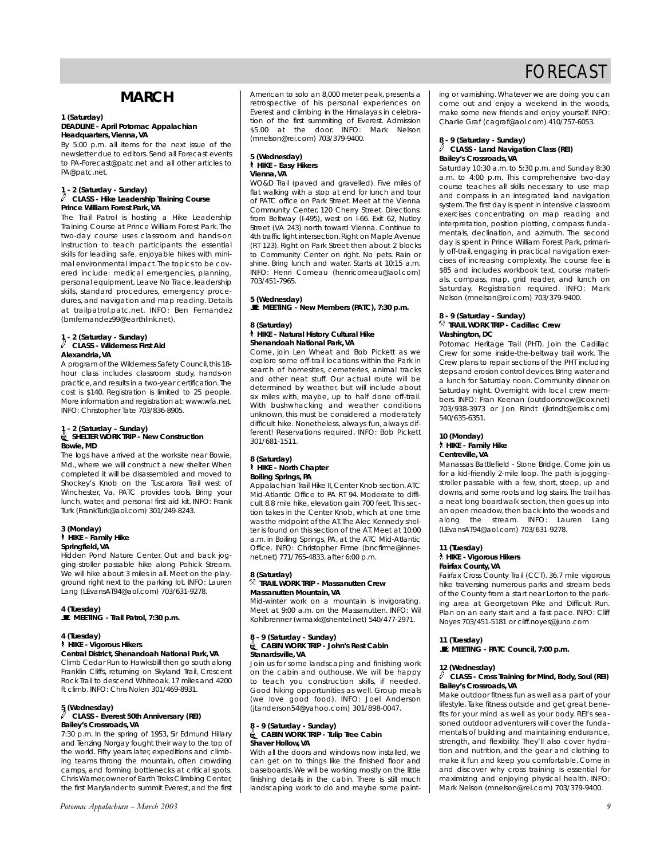# **MARCH**

#### **1 (Saturday) DEADLINE - April** *Potomac Appalachian* **Headquarters, Vienna, VA**

By 5:00 p.m. all items for the next issue of the newsletter due to editors. Send all Forecast events to PA-Forecast@patc.net and all other articles to PA@patc.net.

## **1 - 2 (Saturday - Sunday)** a **CLASS - Hike Leadership Training Course Prince William Forest Park, VA**

The Trail Patrol is hosting a Hike Leadership Training Course at Prince William Forest Park. The two-day course uses classroom and hands-on instruction to teach participants the essential skills for leading safe, enjoyable hikes with minimal environmental impact.The topics to be covered include: medical emergencies, planning, personal equipment, Leave No Trace, leadership skills, standard procedures, emergency procedures, and navigation and map reading. Details at trailpatrol.patc.net. INFO: Ben Fernandez (bmfernandez99@earthlink.net).

#### **1 - 2 (Saturday - Sunday)** a **CLASS - Wilderness First Aid Alexandria, VA**

A program of the Wilderness Safety Council, this 18hour class includes classroom study, hands-on practice, and results in a two-year certification.The cost is \$140. Registration is limited to 25 people. More information and registration at: www.wfa.net. INFO: Christopher Tate 703/836-8905.

## **1 - 2 (Saturday – Sunday)** i**SHELTER WORK TRIP - New Construction Bowie, MD**

The logs have arrived at the worksite near Bowie, Md., where we will construct a new shelter. When completed it will be disassembled and moved to Shockey's Knob on the Tuscarora Trail west of Winchester, Va. PATC provides tools. Bring your lunch, water, and personal first aid kit. INFO: Frank Turk (FrankTurk@aol.com) 301/249-8243.

#### **3 (Monday)** ` **HIKE - Family Hike Springfield, VA**

Hidden Pond Nature Center. Out and back jogging-stroller passable hike along Pohick Stream. We will hike about 3 miles in all. Meet on the playground right next to the parking lot. INFO: Lauren Lang (LEvansAT94@aol.com) 703/631-9278.

**4 (Tuesday)** \**MEETING - Trail Patrol, 7:30 p.m.**

#### **4 (Tuesday)**  ` **HIKE - Vigorous Hikers Central District, Shenandoah National Park, VA**  Climb Cedar Run to Hawksbill then go south along

Franklin Cliffs, returning on Skyland Trail, Crescent Rock Trail to descend Whiteoak. 17 miles and 4200 ft climb. INFO: Chris Nolen 301/469-8931.

# **5 (Wednesday)**

### a **CLASS - Everest 50th Anniversary (REI) Bailey's Crossroads, VA**

7:30 p.m. In the spring of 1953, Sir Edmund Hillary and Tenzing Norgay fought their way to the top of the world. Fifty years later, expeditions and climbing teams throng the mountain, often crowding camps, and forming bottlenecks at critical spots. Chris Warner,owner of Earth Treks Climbing Center, the first Marylander to summit Everest, and the first American to solo an 8,000 meter peak, presents a retrospective of his personal experiences on Everest and climbing in the Himalayas in celebration of the first summiting of Everest. Admission \$5.00 at the door. INFO: Mark Nelson (mnelson@rei.com) 703/379-9400.

#### **5 (Wednesday)** ` **HIKE - Easy Hikers Vienna, VA**

WO&D Trail (paved and gravelled). Five miles of flat walking with a stop at end for lunch and tour of PATC office on Park Street. Meet at the Vienna Community Center, 120 Cherry Street. Directions: from Beltway (I-495), west on I-66. Exit 62, Nutley Street (VA 243) north toward Vienna. Continue to 4th traffic light intersection. Right on Maple Avenue (RT 123). Right on Park Street then about 2 blocks to Community Center on right. No pets. Rain or shine. Bring lunch and water. Starts at 10:15 a.m. INFO: Henri Comeau (henricomeau@aol.com) 703/451-7965.

**5 (Wednesday)** \**MEETING - New Members (PATC), 7:30 p.m.**

#### **8 (Saturday)** ` **HIKE - Natural History Cultural Hike Shenandoah National Park, VA**

Come, join Len Wheat and Bob Pickett as we explore some off-trail locations within the Park in search of homesites, cemeteries, animal tracks and other neat stuff. Our actual route will be determined by weather, but will include about six miles with, maybe, up to half done off-trail. With bushwhacking and weather conditions unknown, this must be considered a moderately difficult hike. Nonetheless, always fun, always different! Reservations required. INFO: Bob Pickett 301/681-1511.

# **8 (Saturday)** ` **HIKE - North Chapter Boiling Springs, PA**

Appalachian Trail Hike II, Center Knob section.ATC Mid-Atlantic Office to PA RT 94. Moderate to difficult 8.8 mile hike, elevation gain 700 feet. This section takes in the Center Knob, which at one time was the midpoint of the AT.The Alec Kennedy shelter is found on this section of the AT. Meet at 10:00 a.m. in Boiling Springs, PA, at the ATC Mid-Atlantic Office. INFO: Christopher Firme (bncfirme@innernet.net) 771/765-4833, after 6:00 p.m.

#### **8 (Saturday)** . **TRAIL WORK TRIP - Massanutten Crew Massanutten Mountain, VA**

Mid-winter work on a mountain is invigorating. Meet at 9:00 a.m. on the Massanutten. INFO: Wil Kohlbrenner (wmaxk@shentel.net) 540/477-2971.

#### **8 - 9 (Saturday - Sunday)** i**CABIN WORK TRIP - John's Rest Cabin Stanardsville, VA**

Join us for some landscaping and finishing work on the cabin and outhouse. We will be happy to teach you construction skills, if needed. Good hiking opportunities as well. Group meals (we love good food). INFO: Joel Anderson (jtanderson54@yahoo.com) 301/898-0047.

# **8 - 9 (Saturday - Sunday)** i**CABIN WORK TRIP - Tulip Tree Cabin Shaver Hollow, VA**

With all the doors and windows now installed, we can get on to things like the finished floor and baseboards. We will be working mostly on the little finishing details in the cabin. There is still much landscaping work to do and maybe some paint-

ing or varnishing. Whatever we are doing you can come out and enjoy a weekend in the woods, make some new friends and enjoy yourself. INFO: Charlie Graf (cagraf@aol.com) 410/757-6053.

#### **8 - 9 (Saturday - Sunday)** a **CLASS - Land Navigation Class (REI) Bailey's Crossroads, VA**

Saturday 10:30 a.m. to 5:30 p.m. and Sunday 8:30 a.m. to 4:00 p.m. This comprehensive two-day course teaches all skills necessary to use map and compass in an integrated land navigation system.The first day is spent in intensive classroom exercises concentrating on map reading and interpretation, position plotting, compass fundamentals, declination, and azimuth. The second day is spent in Prince William Forest Park, primarily off-trail, engaging in practical navigation exercises of increasing complexity. The course fee is \$85 and includes workbook text, course materials, compass, map, grid reader, and lunch on Saturday. Registration required. INFO: Mark Nelson (mnelson@rei.com) 703/379-9400.

#### **8 - 9 (Saturday - Sunday)** . **TRAIL WORK TRIP - Cadillac Crew Washington, DC**

Potomac Heritage Trail (PHT). Join the Cadillac Crew for some inside-the-beltway trail work. The Crew plans to repair sections of the PHT including steps and erosion control devices. Bring water and a lunch for Saturday noon. Community dinner on Saturday night. Overnight with local crew members. INFO: Fran Keenan (outdoorsnow@cox.net) 703/938-3973 or Jon Rindt (jkrindt@erols.com) 540/635-6351.

#### **10 (Monday)** ` **HIKE - Family Hike Centreville, VA**

Manassas Battlefield - Stone Bridge. Come join us for a kid-friendly 2-mile loop. The path is joggingstroller passable with a few, short, steep, up and downs, and some roots and log stairs. The trail has a neat long boardwalk section, then goes up into an open meadow, then back into the woods and along the stream. INFO: Lauren Lang (LEvansAT94@aol.com) 703/631-9278.

#### **11 (Tuesday)** ` **HIKE - Vigorous Hikers Fairfax County, VA**

Fairfax Cross County Trail (CCT). 36.7 mile vigorous hike traversing numerous parks and stream beds of the County from a start near Lorton to the parking area at Georgetown Pike and Difficult Run. Plan on an early start and a fast pace. INFO: Cliff Noyes 703/451-5181 or cliff.noyes@juno.com

## **11 (Tuesday)**

\**MEETING - PATC Council, 7:00 p.m.**

### **12 (Wednesday)**

### a **CLASS - Cross Training for Mind, Body, Soul (REI) Bailey's Crossroads, VA**

Make outdoor fitness fun as well as a part of your lifestyle. Take fitness outside and get great benefits for your mind as well as your body. REI's seasoned outdoor adventurers will cover the fundamentals of building and maintaining endurance, strength, and flexibility. They'll also cover hydration and nutrition, and the gear and clothing to make it fun and keep you comfortable. Come in and discover why cross training is essential for maximizing and enjoying physical health. INFO: Mark Nelson (mnelson@rei.com) 703/379-9400.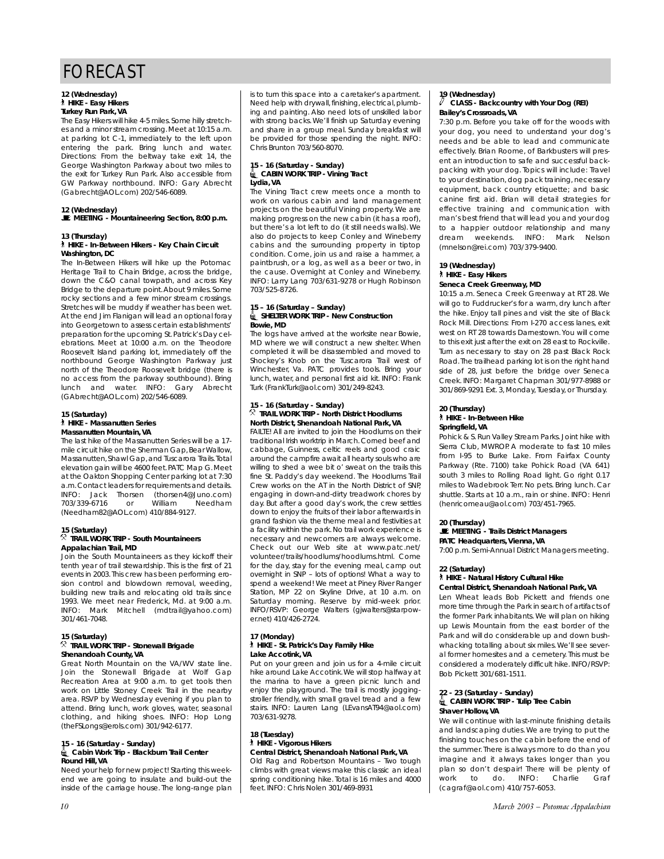#### **12 (Wednesday)** ` **HIKE - Easy Hikers Turkey Run Park, VA**

The Easy Hikers will hike 4-5 miles. Some hilly stretches and a minor stream crossing.Meet at 10:15 a.m. at parking lot C-1, immediately to the left upon entering the park. Bring lunch and water. Directions: From the beltway take exit 14, the George Washington Parkway about two miles to the exit for Turkey Run Park. Also accessible from GW Parkway northbound. INFO: Gary Abrecht (Gabrecht@AOL.com) 202/546-6089.

### **12 (Wednesday)**

## \**MEETING - Mountaineering Section, 8:00 p.m.**

#### **13 (Thursday)**

#### ` **HIKE - In-Between Hikers - Key Chain Circuit Washington, DC**

The In-Between Hikers will hike up the Potomac Heritage Trail to Chain Bridge, across the bridge, down the C&O canal towpath, and across Key Bridge to the departure point.About 9 miles.Some rocky sections and a few minor stream crossings. Stretches will be muddy if weather has been wet. At the end Jim Flanigan will lead an optional foray into Georgetown to assess certain establishments' preparation for the upcoming St.Patrick's Day celebrations. Meet at 10:00 a.m. on the Theodore Roosevelt Island parking lot, immediately off the northbound George Washington Parkway just north of the Theodore Roosevelt bridge (there is no access from the parkway southbound). Bring lunch and water. INFO: Gary Abrecht (GAbrecht@AOL.com) 202/546-6089.

## **15 (Saturday)**

#### ` **HIKE - Massanutten Series Massanutten Mountain, VA**

The last hike of the Massanutten Series will be a 17 mile circuit hike on the Sherman Gap, Bear Wallow, Massanutten,Shawl Gap,and Tuscarora Trails.Total elevation gain will be 4600 feet.PATC Map G.Meet at the Oakton Shopping Center parking lot at 7:30 a.m.Contact leaders for requirements and details. INFO: Jack Thorsen (thorsen4@Juno.com) 703/339-6716 or William (Needham82@AOL.com) 410/884-9127.

#### **15 (Saturday)** . **TRAIL WORK TRIP - South Mountaineers Appalachian Trail, MD**

Join the South Mountaineers as they kickoff their tenth year of trail stewardship. This is the first of 21 events in 2003. This crew has been performing erosion control and blowdown removal, weeding, building new trails and relocating old trails since 1993. We meet near Frederick, Md. at 9:00 a.m. INFO: Mark Mitchell (mdtrail@yahoo.com) 301/461-7048.

#### **15 (Saturday)** . **TRAIL WORK TRIP - Stonewall Brigade Shenandoah County, VA**

Great North Mountain on the VA/WV state line. Join the Stonewall Brigade at Wolf Gap Recreation Area at 9:00 a.m. to get tools then work on Little Stoney Creek Trail in the nearby area. RSVP by Wednesday evening if you plan to attend. Bring lunch, work gloves, water, seasonal clothing, and hiking shoes. INFO: Hop Long (theFSLongs@erols.com) 301/942-6177.

#### **15 - 16 (Saturday - Sunday)** i**Cabin Work Trip - Blackburn Trail Center Round Hill, VA**

Need your help for new project! Starting this weekend we are going to insulate and build-out the inside of the carriage house. The long-range plan is to turn this space into a caretaker's apartment. Need help with drywall, finishing, electrical, plumbing and painting. Also need lots of unskilled labor with strong backs. We'll finish up Saturday evening and share in a group meal. Sunday breakfast will be provided for those spending the night. INFO: Chris Brunton 703/560-8070.

#### **15 - 16 (Saturday - Sunday)** i**CABIN WORK TRIP - Vining Tract Lydia, VA**

The Vining Tract crew meets once a month to work on various cabin and land management projects on the beautiful Vining property. We are making progress on the new cabin (it has a roof), but there's a lot left to do (it still needs walls). We also do projects to keep Conley and Wineberry cabins and the surrounding property in tiptop condition. Come, join us and raise a hammer, a paintbrush, or a log, as well as a beer or two, in the cause. Overnight at Conley and Wineberry. INFO: Larry Lang 703/631-9278 or Hugh Robinson 703/525-8726.

#### **15 – 16 (Saturday – Sunday)** i**SHELTER WORK TRIP - New Construction Bowie, MD**

The logs have arrived at the worksite near Bowie, MD where we will construct a new shelter. When completed it will be disassembled and moved to Shockey's Knob on the Tuscarora Trail west of Winchester, Va. PATC provides tools. Bring your lunch, water, and personal first aid kit. INFO: Frank Turk (FrankTurk@aol.com) 301/249-8243.

#### **15 - 16 (Saturday - Sunday)** . **TRAIL WORK TRIP - North District Hoodlums North District, Shenandoah National Park, VA**

FAILTE! All are invited to join the Hoodlums on their traditional Irish worktrip in March. Corned beef and cabbage, Guinness, celtic reels and good craic around the campfire await all hearty souls who are willing to shed a wee bit o' sweat on the trails this fine St. Paddy's day weekend. The Hoodlums Trail Crew works on the AT in the North District of SNP, engaging in down-and-dirty treadwork chores by day. But after a good day's work, the crew settles down to enjoy the fruits of their labor afterwards in grand fashion via the theme meal and festivities at a facility within the park. No trail work experience is necessary and newcomers are always welcome. Check out our Web site at www.patc.net/ volunteer/trails/hoodlums/hoodlums.html. Come for the day, stay for the evening meal, camp out overnight in SNP – lots of options! What a way to spend a weekend! We meet at Piney River Ranger Station, MP 22 on Skyline Drive, at 10 a.m. on Saturday morning. Reserve by mid-week prior. INFO/RSVP: George Walters (gjwalters@starpower.net) 410/426-2724.

#### **17 (Monday)** ` **HIKE - St. Patrick's Day Family Hike Lake Accotink, VA**

Put on your green and join us for a 4-mile circuit hike around Lake Accotink.We will stop halfway at the marina to have a green picnic lunch and enjoy the playground. The trail is mostly joggingstroller friendly, with small gravel tread and a few stairs. INFO: Lauren Lang (LEvansAT94@aol.com) 703/631-9278.

#### **18 (Tuesday)**  ` **HIKE - Vigorous Hikers Central District, Shenandoah National Park, VA**

Old Rag and Robertson Mountains – Two tough climbs with great views make this classic an ideal spring conditioning hike. Total is 16 miles and 4000 feet. INFO: Chris Nolen 301/469-8931

#### **19 (Wednesday)** a **CLASS - Backcountry with Your Dog (REI) Bailey's Crossroads, VA**

7:30 p.m. Before you take off for the woods with your dog, you need to understand your dog's needs and be able to lead and communicate effectively. Brian Roome, of Barkbusters will present an introduction to safe and successful backpacking with your dog. Topics will include: Travel to your destination, dog pack training, necessary equipment, back country etiquette; and basic canine first aid. Brian will detail strategies for effective training and communication with man's best friend that will lead you and your dog to a happier outdoor relationship and many dream weekends. INFO: Mark Nelson (mnelson@rei.com) 703/379-9400.

#### **19 (Wednesday)** ` **HIKE - Easy Hikers Seneca Creek Greenway, MD**

10:15 a.m. Seneca Creek Greenway at RT 28. We will go to Fuddrucker's for a warm, dry lunch after the hike. Enjoy tall pines and visit the site of Black Rock Mill. Directions: From I-270 access lanes, exit west on RT 28 towards Darnestown. You will come to this exit just after the exit on 28 east to Rockville. Turn as necessary to stay on 28 past Black Rock Road.The trailhead parking lot is on the right hand side of 28, just before the bridge over Seneca Creek. INFO: Margaret Chapman 301/977-8988 or 301/869-9291 Ext. 3, Monday, Tuesday, or Thursday.

#### **20 (Thursday)** ` **HIKE - In-Between Hike Springfield, VA**

Pohick & S. Run Valley Stream Parks. Joint hike with Sierra Club, MWROP. A moderate to fast 10 miles from I-95 to Burke Lake. From Fairfax County Parkway (Rte. 7100) take Pohick Road (VA 641) south 3 miles to Rolling Road light. Go right 0.17 miles to Wadebrook Terr. No pets. Bring lunch. Car shuttle. Starts at 10 a.m., rain or shine. INFO: Henri (henricomeau@aol.com) 703/451-7965.

### **20 (Thursday)**

#### \**MEETING - Trails District Managers PATC Headquarters, Vienna, VA**

7:00 p.m. Semi-Annual District Managers meeting.

## **22 (Saturday)**

#### ` **HIKE - Natural History Cultural Hike Central District, Shenandoah National Park, VA**

Len Wheat leads Bob Pickett and friends one more time through the Park in search of artifacts of the former Park inhabitants. We will plan on hiking up Lewis Mountain from the east border of the Park and will do considerable up and down bushwhacking totalling about six miles. We'll see several former homesites and a cemetery. This must be considered a moderately difficult hike. INFO/RSVP: Bob Pickett 301/681-1511.

#### **22 - 23 (Saturday - Sunday)** i**CABIN WORK TRIP - Tulip Tree Cabin Shaver Hollow, VA**

We will continue with last-minute finishing details and landscaping duties. We are trying to put the finishing touches on the cabin before the end of the summer. There is always more to do than you imagine and it always takes longer than you plan so don't despair! There will be plenty of work to do. INFO: Charlie Graf (cagraf@aol.com) 410/757-6053.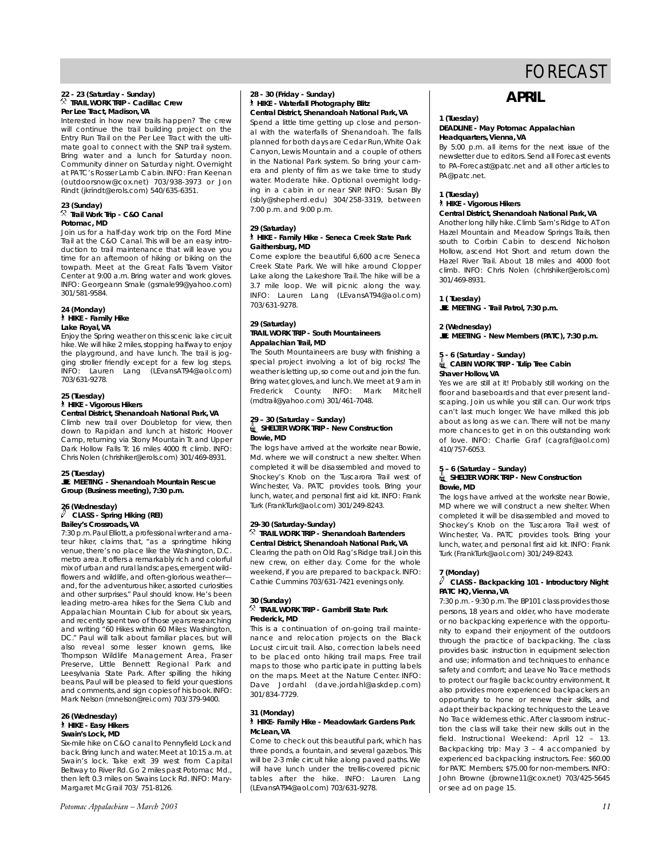#### **22 - 23 (Saturday - Sunday)** . **TRAIL WORK TRIP - Cadillac Crew Per Lee Tract, Madison, VA**

Interested in how new trails happen? The crew will continue the trail building project on the Entry Run Trail on the Per Lee Tract with the ultimate goal to connect with the SNP trail system. Bring water and a lunch for Saturday noon. Community dinner on Saturday night. Overnight at PATC's Rosser Lamb Cabin. INFO: Fran Keenan (outdoorsnow@cox.net) 703/938-3973 or Jon Rindt (jkrindt@erols.com) 540/635-6351.

#### **23 (Sunday)** . **Trail Work Trip - C&O Canal Potomac, MD**

Join us for a half-day work trip on the Ford Mine Trail at the C&O Canal. This will be an easy introduction to trail maintenance that will leave you time for an afternoon of hiking or biking on the towpath. Meet at the Great Falls Tavern Visitor Center at 9:00 a.m. Bring water and work gloves. INFO: Georgeann Smale (gsmale99@yahoo.com) 301/581-9584.

#### **24 (Monday)** ` **HIKE - Family Hike Lake Royal, VA**

Enjoy the Spring weather on this scenic lake circuit hike.We will hike 2 miles, stopping halfway to enjoy the playground, and have lunch. The trail is jogging stroller friendly except for a few log steps. INFO: Lauren Lang (LEvansAT94@aol.com) 703/631-9278.

### **25 (Tuesday)**

#### ` **HIKE - Vigorous Hikers Central District, Shenandoah National Park, VA**

Climb new trail over Doubletop for view, then down to Rapidan and lunch at historic Hoover Camp, returning via Stony Mountain Tr. and Upper Dark Hollow Falls Tr. 16 miles 4000 ft climb. INFO: Chris Nolen (chrishiker@erols.com) 301/469-8931.

#### **25 (Tuesday)**

\**MEETING - Shenandoah Mountain Rescue Group (Business meeting), 7:30 p.m.**

#### **26 (Wednesday)** a **CLASS - Spring Hiking (REI) Bailey's Crossroads, VA**

7:30 p.m.Paul Elliott,a professional writer and amateur hiker, claims that, "as a springtime hiking venue, there's no place like the Washington, D.C. metro area. It offers a remarkably rich and colorful mix of urban and rural landscapes,emergent wildflowers and wildlife, and often-glorious weather and, for the adventurous hiker, assorted curiosities and other surprises." Paul should know. He's been leading metro-area hikes for the Sierra Club and Appalachian Mountain Club for about six years, and recently spent two of those years researching and writing "60 Hikes within 60 Miles: Washington, DC." Paul will talk about familiar places, but will also reveal some lesser known gems, like Thompson Wildlife Management Area, Fraser Preserve, Little Bennett Regional Park and Leesylvania State Park. After spilling the hiking beans, Paul will be pleased to field your questions and comments, and sign copies of his book. INFO: Mark Nelson (mnelson@rei.com) 703/379-9400.

#### **26 (Wednesday)** ` **HIKE - Easy Hikers Swain's Lock, MD**

Six-mile hike on C&O canal to Pennyfield Lock and back. Bring lunch and water. Meet at 10:15 a.m. at Swain's lock. Take exit 39 west from Capital Beltway to River Rd. Go 2 miles past Potomac Md., then left 0.3 miles on Swains Lock Rd. INFO: Mary-Margaret McGrail 703/ 751-8126.

#### **28 - 30 (Friday - Sunday)** ` **HIKE - Waterfall Photography Blitz Central District, Shenandoah National Park, VA**

Spend a little time getting up close and personal with the waterfalls of Shenandoah. The falls planned for both days are Cedar Run,White Oak Canyon, Lewis Mountain and a couple of others in the National Park system. So bring your camera and plenty of film as we take time to study water. Moderate hike. Optional overnight lodging in a cabin in or near SNP. INFO: Susan Bly (sbly@shepherd.edu) 304/258-3319, between 7:00 p.m. and 9:00 p.m.

#### **29 (Saturday)** ` **HIKE - Family Hike - Seneca Creek State Park Gaithersburg, MD**

Come explore the beautiful 6,600 acre Seneca Creek State Park. We will hike around Clopper Lake along the Lakeshore Trail. The hike will be a 3.7 mile loop. We will picnic along the way. INFO: Lauren Lang (LEvansAT94@aol.com) 703/631-9278.

#### **29 (Saturday) TRAIL WORK TRIP - South Mountaineers Appalachian Trail, MD**

The South Mountaineers are busy with finishing a special project involving a lot of big rocks! The weather is letting up,so come out and join the fun. Bring water, gloves, and lunch.We meet at 9 am in Frederick County. INFO: Mark Mitchell (mdtrail@yahoo.com) 301/461-7048.

#### **29 – 30 (Saturday – Sunday)** i**SHELTER WORK TRIP - New Construction Bowie, MD**

The logs have arrived at the worksite near Bowie, Md. where we will construct a new shelter. When completed it will be disassembled and moved to Shockey's Knob on the Tuscarora Trail west of Winchester, Va. PATC provides tools. Bring your lunch, water, and personal first aid kit. INFO: Frank Turk (FrankTurk@aol.com) 301/249-8243.

#### **29-30 (Saturday-Sunday)**  . **TRAIL WORK TRIP - Shenandoah Bartenders Central District, Shenandoah National Park, VA**

Clearing the path on Old Rag's Ridge trail.Join this new crew, on either day. Come for the whole weekend, if you are prepared to backpack. INFO: Cathie Cummins 703/631-7421 evenings only.

#### **30 (Sunday)**  . **TRAIL WORK TRIP - Gambrill State Park Frederick, MD**

This is a continuation of on-going trail maintenance and relocation projects on the Black Locust circuit trail. Also, correction labels need to be placed onto hiking trail maps. Free trail maps to those who participate in putting labels on the maps. Meet at the Nature Center. INFO: Dave Jordahl (dave.jordahl@askdep.com) 301/834-7729.

#### **31 (Monday)** ` **HIKE- Family Hike - Meadowlark Gardens Park McLean, VA**

Come to check out this beautiful park, which has three ponds, a fountain, and several gazebos. This will be 2-3 mile circuit hike along paved paths. We will have lunch under the trellis-covered picnic tables after the hike. INFO: Lauren Lang (LEvansAT94@aol.com) 703/631-9278.

# **APRIL**

#### **1 (Tuesday) DEADLINE - May** *Potomac Appalachian* **Headquarters, Vienna, VA**

By 5:00 p.m. all items for the next issue of the newsletter due to editors. Send all Forecast events to PA-Forecast@patc.net and all other articles to PA@patc.net.

## **1 (Tuesday)**

## ` **HIKE - Vigorous Hikers**

## **Central District, Shenandoah National Park, VA**

Another long hilly hike. Climb Sam's Ridge to AT on Hazel Mountain and Meadow Springs Trails, then south to Corbin Cabin to descend Nicholson Hollow, ascend Hot Short and return down the Hazel River Trail. About 18 miles and 4000 foot climb. INFO: Chris Nolen (chrishiker@erols.com) 301/469-8931.

## **1 ( Tuesday)**

\**MEETING - Trail Patrol, 7:30 p.m.**

### **2 (Wednesday)**

\**MEETING - New Members (PATC), 7:30 p.m.**

#### **5 - 6 (Saturday - Sunday)** i**CABIN WORK TRIP - Tulip Tree Cabin Shaver Hollow, VA**

Yes we are still at it! Probably still working on the floor and baseboards and that ever present landscaping. Join us while you still can. Our work trips can't last much longer. We have milked this job about as long as we can. There will not be many more chances to get in on this outstanding work of love. INFO: Charlie Graf (cagraf@aol.com) 410/757-6053.

### **5 – 6 (Saturday – Sunday)**

#### i**SHELTER WORK TRIP - New Construction Bowie, MD**

The logs have arrived at the worksite near Bowie, MD where we will construct a new shelter. When completed it will be disassembled and moved to Shockey's Knob on the Tuscarora Trail west of Winchester, Va. PATC provides tools. Bring your lunch, water, and personal first aid kit. INFO: Frank Turk (FrankTurk@aol.com) 301/249-8243.

### **7 (Monday)**

### a **CLASS - Backpacking 101 - Introductory Night PATC HQ, Vienna, VA**

7:30 p.m. - 9:30 p.m.The BP101 class provides those persons, 18 years and older, who have moderate or no backpacking experience with the opportunity to expand their enjoyment of the outdoors through the practice of backpacking. The class provides basic instruction in equipment selection and use; information and techniques to enhance safety and comfort; and Leave No Trace methods to protect our fragile backcountry environment. It also provides more experienced backpackers an opportunity to hone or renew their skills, and adapt their backpacking techniques to the Leave No Trace wilderness ethic. After classroom instruction the class will take their new skills out in the field. Instructional Weekend: April 12 – 13. Backpacking trip: May 3 – 4 accompanied by experienced backpacking instructors. Fee: \$60.00 for PATC Members; \$75.00 for non-members. INFO: John Browne (jbrowne11@cox.net) 703/425-5645 or see ad on page 15.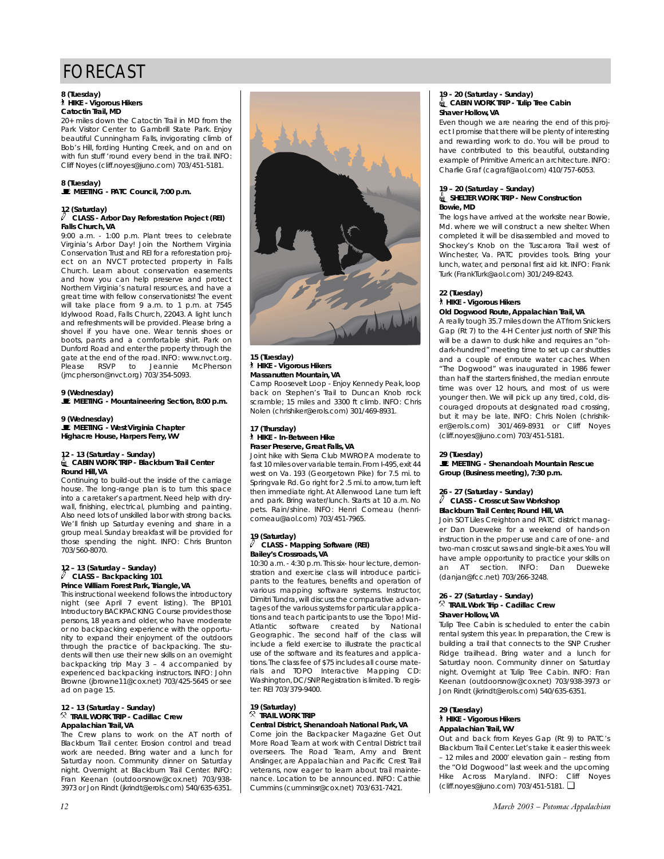#### **8 (Tuesday)** ` **HIKE - Vigorous Hikers**

## **Catoctin Trail, MD**

20+ miles down the Catoctin Trail in MD from the Park Visitor Center to Gambrill State Park. Enjoy beautiful Cunningham Falls, invigorating climb of Bob's Hill, fording Hunting Creek, and on and on with fun stuff 'round every bend in the trail. INFO: Cliff Noyes (cliff.noyes@juno.com) 703/451-5181.

#### **8 (Tuesday)**  \**MEETING - PATC Council, 7:00 p.m.**

#### **12 (Saturday)** a **CLASS - Arbor Day Reforestation Project (REI) Falls Church, VA**

9:00 a.m. - 1:00 p.m. Plant trees to celebrate Virginia's Arbor Day! Join the Northern Virginia Conservation Trust and REI for a reforestation project on an NVCT protected property in Falls Church. Learn about conservation easements and how you can help preserve and protect Northern Virginia's natural resources, and have a great time with fellow conservationists! The event will take place from 9 a.m. to 1 p.m. at 7545 Idylwood Road, Falls Church, 22043. A light lunch and refreshments will be provided. Please bring a shovel if you have one. Wear tennis shoes or boots, pants and a comfortable shirt. Park on Dunford Road and enter the property through the gate at the end of the road. INFO: www.nvct.org.<br>Please RSVP to Jeannie McPherson Please RSVP to Jeannie McPherson (jmcpherson@nvct.org) 703/354-5093.

### **9 (Wednesday)**

\**MEETING - Mountaineering Section, 8:00 p.m.**

## **9 (Wednesday)**  \**MEETING - West Virginia Chapter Highacre House, Harpers Ferry, WV**

## **12 - 13 (Saturday - Sunday)** i**CABIN WORK TRIP - Blackburn Trail Center Round Hill, VA**

Continuing to build-out the inside of the carriage house. The long-range plan is to turn this space into a caretaker's apartment. Need help with drywall, finishing, electrical, plumbing and painting. Also need lots of unskilled labor with strong backs. We'll finish up Saturday evening and share in a group meal. Sunday breakfast will be provided for those spending the night. INFO: Chris Brunton 703/560-8070.

#### **12 – 13 (Saturday – Sunday)**  $\overline{\mathscr{O}}$  CLASS – Backpacking 101 **Prince William Forest Park, Triangle, VA**

This instructional weekend follows the introductory night (see April 7 event listing). The BP101 Introductory BACKPACKING Course provides those persons, 18 years and older, who have moderate or no backpacking experience with the opportunity to expand their enjoyment of the outdoors through the practice of backpacking. The students will then use their new skills on an overnight backpacking trip May 3 – 4 accompanied by experienced backpacking instructors. INFO: John Browne (jbrowne11@cox.net) 703/425-5645 or see ad on page 15.

## **12 - 13 (Saturday - Sunday)** . **TRAIL WORK TRIP - Cadillac Crew Appalachian Trail, VA**

The Crew plans to work on the AT north of Blackburn Trail center. Erosion control and tread work are needed. Bring water and a lunch for Saturday noon. Community dinner on Saturday night. Overnight at Blackburn Trail Center. INFO: Fran Keenan (outdoorsnow@cox.net) 703/938- 3973 or Jon Rindt (jkrindt@erols.com) 540/635-6351.



#### **15 (Tuesday)** ` **HIKE - Vigorous Hikers Massanutten Mountain, VA**

Camp Roosevelt Loop - Enjoy Kennedy Peak, loop back on Stephen's Trail to Duncan Knob rock scramble; 15 miles and 3300 ft climb. INFO: Chris Nolen (chrishiker@erols.com) 301/469-8931.

#### **17 (Thursday)** ` **HIKE - In-Between Hike Fraser Preserve, Great Falls, VA**

Joint hike with Sierra Club MWROP. A moderate to fast 10 miles over variable terrain. From I-495, exit 44 west on Va. 193 (Georgetown Pike) for 7.5 mi. to Springvale Rd. Go right for 2 .5 mi. to arrow, turn left then immediate right. At Allenwood Lane turn left and park. Bring water/lunch. Starts at 10 a.m. No pets. Rain/shine. INFO: Henri Comeau (henricomeau@aol.com) 703/451-7965.

#### **19 (Saturday)** a **CLASS - Mapping Software (REI) Bailey's Crossroads, VA**

10:30 a.m. - 4:30 p.m. This six- hour lecture, demonstration and exercise class will introduce participants to the features, benefits and operation of various mapping software systems. Instructor, Dimitri Tundra, will discuss the comparative advantages of the various systems for particular applications and teach participants to use the Topo! Mid-Atlantic software created by National Geographic. The second half of the class will include a field exercise to illustrate the practical use of the software and its features and applications.The class fee of \$75 includes all course materials and TOPO Interactive Mapping CD: Washington,DC/SNP.Registration is limited.To register: REI 703/379-9400.

#### **19 (Saturday)**  . **TRAIL WORK TRIP Central District, Shenandoah National Park, VA**

Come join the Backpacker Magazine Get Out More Road Team at work with Central District trail overseers. The Road Team, Amy and Brent Anslinger, are Appalachian and Pacific Crest Trail veterans, now eager to learn about trail maintenance. Location to be announced. INFO: Cathie Cummins (cumminsr@cox.net) 703/631-7421.

#### **19 - 20 (Saturday - Sunday)** i**CABIN WORK TRIP - Tulip Tree Cabin Shaver Hollow, VA**

Even though we are nearing the end of this project I promise that there will be plenty of interesting and rewarding work to do. You will be proud to have contributed to this beautiful, outstanding example of Primitive American architecture. INFO: Charlie Graf (cagraf@aol.com) 410/757-6053.

#### **19 – 20 (Saturday – Sunday)** i**SHELTER WORK TRIP - New Construction Bowie, MD**

The logs have arrived at the worksite near Bowie, Md. where we will construct a new shelter. When completed it will be disassembled and moved to Shockey's Knob on the Tuscarora Trail west of Winchester, Va. PATC provides tools. Bring your lunch, water, and personal first aid kit. INFO: Frank Turk (FrankTurk@aol.com) 301/249-8243.

## **22 (Tuesday)** ` **HIKE - Vigorous Hikers**

### **Old Dogwood Route, Appalachian Trail, VA**

A really tough 35.7 miles down the AT from Snickers Gap (Rt 7) to the 4-H Center just north of SNP. This will be a dawn to dusk hike and requires an "ohdark-hundred" meeting time to set up car shuttles and a couple of enroute water caches. When "The Dogwood" was inaugurated in 1986 fewer than half the starters finished, the median enroute time was over 12 hours, and most of us were younger then. We will pick up any tired, cold, discouraged dropouts at designated road crossing, but it may be late. INFO: Chris Nolen (chrishiker@erols.com) 301/469-8931 or Cliff Noyes (cliff.noyes@juno.com) 703/451-5181.

### **29 (Tuesday)**

\**MEETING - Shenandoah Mountain Rescue Group (Business meeting), 7:30 p.m.**

#### **26 - 27 (Saturday - Sunday)**  a **CLASS - Crosscut Saw Workshop Blackburn Trail Center, Round Hill, VA**

Join SOT Liles Creighton and PATC district manager Dan Dueweke for a weekend of hands-on instruction in the proper use and care of one- and two-man crosscut saws and single-bit axes.You will have ample opportunity to practice your skills on an AT section. INFO: Dan Dueweke (danjan@fcc.net) 703/266-3248.

#### **26 - 27 (Saturday - Sunday)** . **TRAIL Work Trip - Cadillac Crew Shaver Hollow, VA**

Tulip Tree Cabin is scheduled to enter the cabin rental system this year. In preparation, the Crew is building a trail that connects to the SNP Crusher Ridge trailhead. Bring water and a lunch for Saturday noon. Community dinner on Saturday night. Overnight at Tulip Tree Cabin. INFO: Fran Keenan (outdoorsnow@cox.net) 703/938-3973 or Jon Rindt (jkrindt@erols.com) 540/635-6351.

#### **29 (Tuesday)** ` **HIKE - Vigorous Hikers Appalachian Trail, WV**

Out and back from Keyes Gap (Rt 9) to PATC's Blackburn Trail Center. Let's take it easier this week – 12 miles and 2000' elevation gain – resting from the "Old Dogwood" last week and the upcoming Hike Across Maryland. INFO: Cliff Noyes (cliff.noyes@juno.com) 703/451-5181. ❏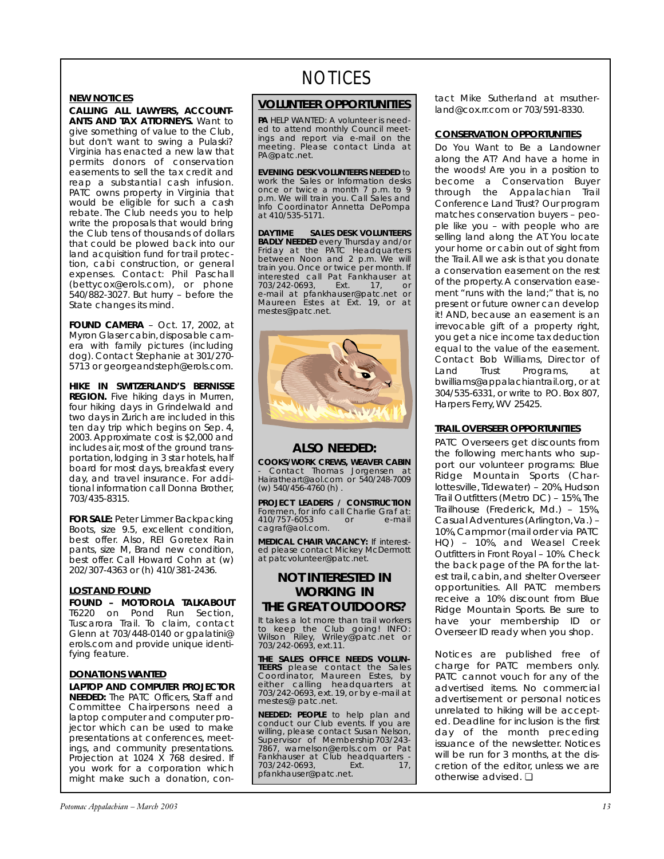## **NEW NOTICES**

**CALLING ALL LAWYERS, ACCOUNT-ANTS AND TAX ATTORNEYS.** Want to give something of value to the Club, but don't want to swing a Pulaski? Virginia has enacted a new law that permits donors of conservation easements to sell the tax credit and reap a substantial cash infusion. PATC owns property in Virginia that would be eligible for such a cash rebate. The Club needs you to help write the proposals that would bring the Club tens of thousands of dollars that could be plowed back into our land acquisition fund for trail protection, cabi construction, or general expenses. Contact: Phil Paschall (bettycox@erols.com), or phone 540/882-3027. But hurry – before the State changes its mind.

**FOUND CAMERA** – Oct. 17, 2002, at Myron Glaser cabin,disposable camera with family pictures (including dog). Contact Stephanie at 301/270- 5713 or georgeandsteph@erols.com.

**HIKE IN SWITZERLAND'S BERNISSE REGION.** Five hiking days in Murren, four hiking days in Grindelwald and two days in Zurich are included in this ten day trip which begins on Sep. 4, 2003. Approximate cost is \$2,000 and includes air, most of the ground transportation, lodging in 3 star hotels, half board for most days, breakfast every day, and travel insurance. For additional information call Donna Brother, 703/435-8315.

**FOR SALE:** Peter Limmer Backpacking Boots, size 9.5, excellent condition, best offer. Also, REI Goretex Rain pants, size M, Brand new condition, best offer. Call Howard Cohn at (w) 202/307-4363 or (h) 410/381-2436.

## **LOST AND FOUND**

**FOUND – MOTOROLA TALKABOUT** T6220 on Pond Run Section, Tuscarora Trail. To claim, contact Glenn at 703/448-0140 or gpalatini@ erols.com and provide unique identifying feature.

## **DONATIONS WANTED**

**LAPTOP AND COMPUTER PROJECTOR NEEDED:** The PATC Officers, Staff and Committee Chairpersons need a laptop computer and computer projector which can be used to make presentations at conferences, meetings, and community presentations. Projection at 1024 X 768 desired. If you work for a corporation which might make such a donation, con-

# NOTICES

## **VOLUNTEER OPPORTUNITIES**

*PA* HELP WANTED: A volunteer is needed to attend monthly Council meet-ings and report via e-mail on the meeting. Please contact Linda at PA@patc.net.

**EVENING DESK VOLUNTEERS NEEDED** to work the Sales or Information desks once or twice a month 7 p.m. to 9 p.m. We will train you. Call Sales and Info Coordinator Annetta DePompa at 410/535-5171.

**DAYTIME SALES DESK VOLUNTEERS BADLY NEEDED** every Thursday and/or Friday at the PATC Headquarters between Noon and 2 p.m. We will train you. Once or twice per month. If interested call Pat Fankhauser at 703/242-0693, Ext. 17, or e-mail at pfankhauser@patc.net or Maureen Estes at Ext. 19, or at mestes@patc.net.



## **ALSO NEEDED:**

**COOKS/WORK CREWS, WEAVER CABIN** - Contact Thomas Jorgensen at Hairatheart@aol.com or 540/248-7009 (w) 540/456-4760 (h) .

**PROJECT LEADERS / CONSTRUCTION** Foremen, for info call Charlie Graf at:<br>410/757-6053 or e-mail 410/757-6053 cagraf@aol.com.

**MEDICAL CHAIR VACANCY:** If interested please contact Mickey McDermott at patcvolunteer@patc.net.

## **NOT INTERESTED IN WORKING IN THE GREAT OUTDOORS?**

It takes a lot more than trail workers to keep the Club going! INFO: Wilson Riley, Wriley@patc.net or 703/242-0693, ext.11.

**THE SALES OFFICE NEEDS VOLUN-TEERS** please contact the Sales TEERS prease compact the band-<br>Coordinator, Maureen Estes, by either calling headquarters at 703/242-0693, ext. 19, or by e-mail at mestes@ patc.net.

**NEEDED: PEOPLE** to help plan and conduct our Club events. If you are willing, please contact Susan Nelson, willing, piease contact susan Neison,<br>Supervisor of Membership703/243-<br>7867, warnelson@erols.com or Pat 7867, warnelson@erols.com or Pat Fankhauser at Club headquarters - 703/242-0693, Ext. 17, pfankhauser@patc.net.

tact Mike Sutherland at msutherland@cox.rr.com or 703/591-8330.

## **CONSERVATION OPPORTUNITIES**

Do You Want to Be a Landowner along the AT? And have a home in the woods! Are you in a position to become a Conservation Buyer through the Appalachian Trail Conference Land Trust? Our program matches conservation buyers – people like you – with people who are selling land along the AT. You locate your home or cabin out of sight from the Trail. All we ask is that you donate a conservation easement on the rest of the property. A conservation easement "runs with the land;" that is, no present or future owner can develop it! AND, because an easement is an irrevocable gift of a property right, you get a nice income tax deduction equal to the value of the easement. Contact Bob Williams, Director of Land Trust Programs, at bwilliams@appalachiantrail.org, or at 304/535-6331, or write to P.O. Box 807, Harpers Ferry, WV 25425.

## **TRAIL OVERSEER OPPORTUNITIES**

PATC Overseers get discounts from the following merchants who support our volunteer programs: Blue Ridge Mountain Sports (Charlottesville, Tidewater) – 20%, Hudson Trail Outfitters (Metro DC) – 15%,The Trailhouse (Frederick, Md.) – 15%, Casual Adventures (Arlington,Va.) – 10%,Campmor (mail order via PATC HQ) – 10%, and Weasel Creek Outfitters in Front Royal – 10%. Check the back page of the PA for the latest trail, cabin, and shelter Overseer opportunities. All PATC members receive a 10% discount from Blue Ridge Mountain Sports. Be sure to have your membership ID or Overseer ID ready when you shop.

Notices are published free of charge for PATC members only. PATC cannot vouch for any of the advertised items. No commercial advertisement or personal notices unrelated to hiking will be accepted. Deadline for inclusion is the first day of the month preceding issuance of the newsletter. Notices will be run for 3 months, at the discretion of the editor, unless we are otherwise advised. ❏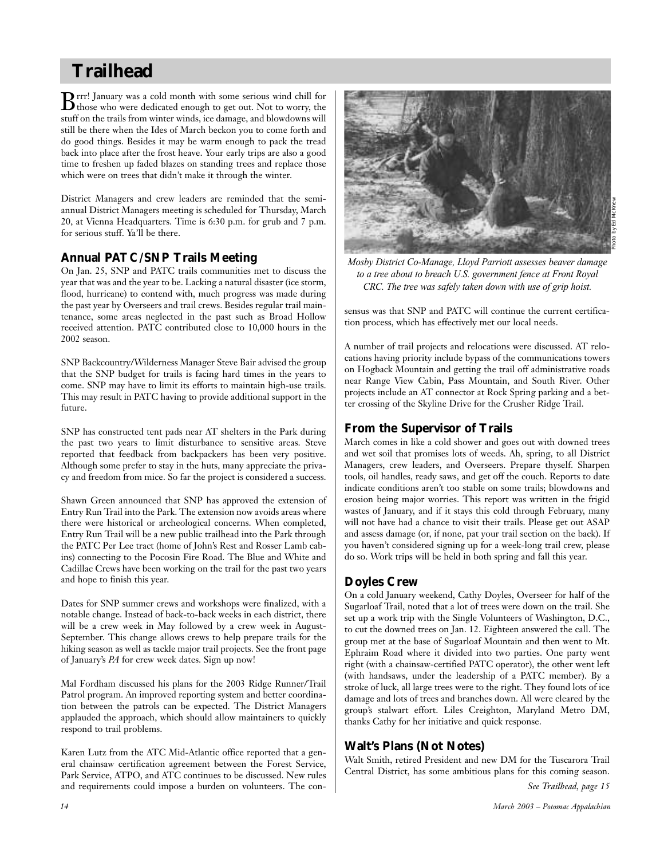# **Trailhead**

Brrr! January was a cold month with some serious wind chill for those who were dedicated enough to get out. Not to worry, the stuff on the trails from winter winds, ice damage, and blowdowns will still be there when the Ides of March beckon you to come forth and do good things. Besides it may be warm enough to pack the tread back into place after the frost heave. Your early trips are also a good time to freshen up faded blazes on standing trees and replace those which were on trees that didn't make it through the winter.

District Managers and crew leaders are reminded that the semiannual District Managers meeting is scheduled for Thursday, March 20, at Vienna Headquarters. Time is 6:30 p.m. for grub and 7 p.m. for serious stuff. Ya'll be there.

## **Annual PATC/SNP Trails Meeting**

On Jan. 25, SNP and PATC trails communities met to discuss the year that was and the year to be. Lacking a natural disaster (ice storm, flood, hurricane) to contend with, much progress was made during the past year by Overseers and trail crews. Besides regular trail maintenance, some areas neglected in the past such as Broad Hollow received attention. PATC contributed close to 10,000 hours in the 2002 season.

SNP Backcountry/Wilderness Manager Steve Bair advised the group that the SNP budget for trails is facing hard times in the years to come. SNP may have to limit its efforts to maintain high-use trails. This may result in PATC having to provide additional support in the future.

SNP has constructed tent pads near AT shelters in the Park during the past two years to limit disturbance to sensitive areas. Steve reported that feedback from backpackers has been very positive. Although some prefer to stay in the huts, many appreciate the privacy and freedom from mice. So far the project is considered a success.

Shawn Green announced that SNP has approved the extension of Entry Run Trail into the Park. The extension now avoids areas where there were historical or archeological concerns. When completed, Entry Run Trail will be a new public trailhead into the Park through the PATC Per Lee tract (home of John's Rest and Rosser Lamb cabins) connecting to the Pocosin Fire Road. The Blue and White and Cadillac Crews have been working on the trail for the past two years and hope to finish this year.

Dates for SNP summer crews and workshops were finalized, with a notable change. Instead of back-to-back weeks in each district, there will be a crew week in May followed by a crew week in August-September. This change allows crews to help prepare trails for the hiking season as well as tackle major trail projects. See the front page of January's *PA* for crew week dates. Sign up now!

Mal Fordham discussed his plans for the 2003 Ridge Runner/Trail Patrol program. An improved reporting system and better coordination between the patrols can be expected. The District Managers applauded the approach, which should allow maintainers to quickly respond to trail problems.

Karen Lutz from the ATC Mid-Atlantic office reported that a general chainsaw certification agreement between the Forest Service, Park Service, ATPO, and ATC continues to be discussed. New rules and requirements could impose a burden on volunteers. The con-



*Mosby District Co-Manage, Lloyd Parriott assesses beaver damage to a tree about to breach U.S. government fence at Front Royal CRC. The tree was safely taken down with use of grip hoist.*

sensus was that SNP and PATC will continue the current certification process, which has effectively met our local needs.

A number of trail projects and relocations were discussed. AT relocations having priority include bypass of the communications towers on Hogback Mountain and getting the trail off administrative roads near Range View Cabin, Pass Mountain, and South River. Other projects include an AT connector at Rock Spring parking and a better crossing of the Skyline Drive for the Crusher Ridge Trail.

## **From the Supervisor of Trails**

March comes in like a cold shower and goes out with downed trees and wet soil that promises lots of weeds. Ah, spring, to all District Managers, crew leaders, and Overseers. Prepare thyself. Sharpen tools, oil handles, ready saws, and get off the couch. Reports to date indicate conditions aren't too stable on some trails; blowdowns and erosion being major worries. This report was written in the frigid wastes of January, and if it stays this cold through February, many will not have had a chance to visit their trails. Please get out ASAP and assess damage (or, if none, pat your trail section on the back). If you haven't considered signing up for a week-long trail crew, please do so. Work trips will be held in both spring and fall this year.

# **Doyles Crew**

On a cold January weekend, Cathy Doyles, Overseer for half of the Sugarloaf Trail, noted that a lot of trees were down on the trail. She set up a work trip with the Single Volunteers of Washington, D.C., to cut the downed trees on Jan. 12. Eighteen answered the call. The group met at the base of Sugarloaf Mountain and then went to Mt. Ephraim Road where it divided into two parties. One party went right (with a chainsaw-certified PATC operator), the other went left (with handsaws, under the leadership of a PATC member). By a stroke of luck, all large trees were to the right. They found lots of ice damage and lots of trees and branches down. All were cleared by the group's stalwart effort. Liles Creighton, Maryland Metro DM, thanks Cathy for her initiative and quick response.

# **Walt's Plans (Not Notes)**

Walt Smith, retired President and new DM for the Tuscarora Trail Central District, has some ambitious plans for this coming season.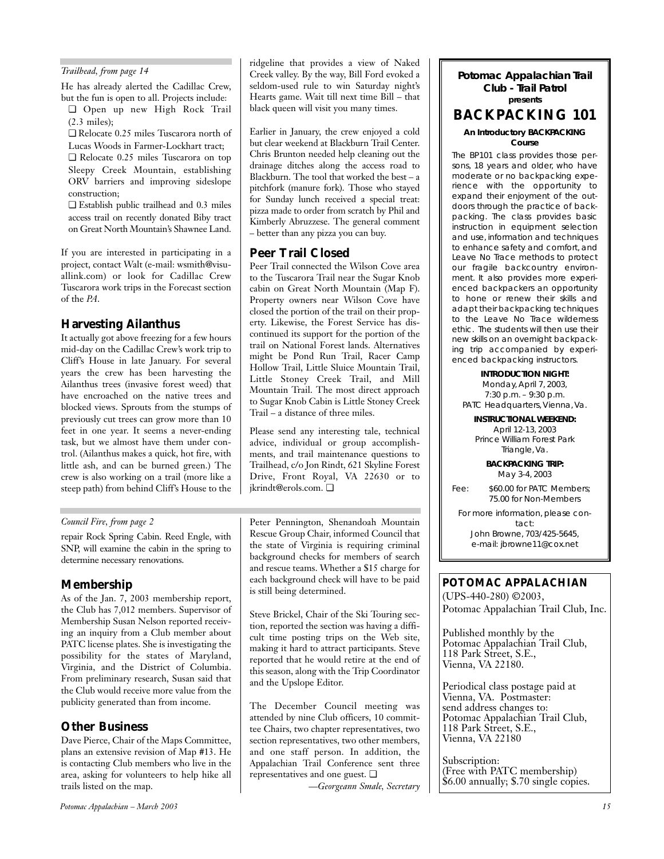He has already alerted the Cadillac Crew, but the fun is open to all. Projects include:

❏ Open up new High Rock Trail (2.3 miles);

❏ Relocate 0.25 miles Tuscarora north of Lucas Woods in Farmer-Lockhart tract;

❏ Relocate 0.25 miles Tuscarora on top Sleepy Creek Mountain, establishing ORV barriers and improving sideslope construction;

❏ Establish public trailhead and 0.3 miles access trail on recently donated Biby tract on Great North Mountain's Shawnee Land.

If you are interested in participating in a project, contact Walt (e-mail: wsmith@visuallink.com) or look for Cadillac Crew Tuscarora work trips in the Forecast section of the *PA*.

## **Harvesting Ailanthus**

It actually got above freezing for a few hours mid-day on the Cadillac Crew's work trip to Cliff's House in late January. For several years the crew has been harvesting the Ailanthus trees (invasive forest weed) that have encroached on the native trees and blocked views. Sprouts from the stumps of previously cut trees can grow more than 10 feet in one year. It seems a never-ending task, but we almost have them under control. (Ailanthus makes a quick, hot fire, with little ash, and can be burned green.) The crew is also working on a trail (more like a steep path) from behind Cliff's House to the

## *Council Fire, from page 2*

SNP, will examine the cabin in the spring to determine necessary renovations.

## **Membership**

As of the Jan. 7, 2003 membership report, the Club has 7,012 members. Supervisor of Membership Susan Nelson reported receiving an inquiry from a Club member about PATC license plates. She is investigating the possibility for the states of Maryland, Virginia, and the District of Columbia. From preliminary research, Susan said that the Club would receive more value from the publicity generated than from income.

## **Other Business**

Dave Pierce, Chair of the Maps Committee, plans an extensive revision of Map #13. He is contacting Club members who live in the area, asking for volunteers to help hike all trails listed on the map.

ridgeline that provides a view of Naked Trailhead, from page 14 **Potomac Appalachian Trail** Creek valley. By the way, Bill Ford evoked a **Potomac Appalachian Trail** seldom-used rule to win Saturday night's Hearts game. Wait till next time Bill – that black queen will visit you many times.

> Earlier in January, the crew enjoyed a cold but clear weekend at Blackburn Trail Center. Chris Brunton needed help cleaning out the drainage ditches along the access road to Blackburn. The tool that worked the best – a pitchfork (manure fork). Those who stayed for Sunday lunch received a special treat: pizza made to order from scratch by Phil and Kimberly Abruzzese. The general comment – better than any pizza you can buy.

## **Peer Trail Closed**

Peer Trail connected the Wilson Cove area to the Tuscarora Trail near the Sugar Knob cabin on Great North Mountain (Map F). Property owners near Wilson Cove have closed the portion of the trail on their property. Likewise, the Forest Service has discontinued its support for the portion of the trail on National Forest lands. Alternatives might be Pond Run Trail, Racer Camp Hollow Trail, Little Sluice Mountain Trail, Little Stoney Creek Trail, and Mill Mountain Trail. The most direct approach to Sugar Knob Cabin is Little Stoney Creek Trail – a distance of three miles.

Please send any interesting tale, technical advice, individual or group accomplishments, and trail maintenance questions to Trailhead, c/o Jon Rindt, 621 Skyline Forest Drive, Front Royal, VA 22630 or to jkrindt@erols.com. ❏

repair Rock Spring Cabin. Reed Engle, with Rescue Group Chair, informed Council that The Solid Book of Virginia<br>SNP will examine the cabin in the spring to the state of Virginia is requiring criminal the e-mail: jbrowne11@ Peter Pennington, Shenandoah Mountain Rescue Group Chair, informed Council that background checks for members of search and rescue teams. Whether a \$15 charge for each background check will have to be paid is still being determined.

> Steve Brickel, Chair of the Ski Touring section, reported the section was having a difficult time posting trips on the Web site, making it hard to attract participants. Steve reported that he would retire at the end of this season, along with the Trip Coordinator and the Upslope Editor.

> The December Council meeting was attended by nine Club officers, 10 committee Chairs, two chapter representatives, two section representatives, two other members, and one staff person. In addition, the Appalachian Trail Conference sent three representatives and one guest. ❏

*—Georgeann Smale, Secretary*

# **Club - Trail Patrol presents BACKPACKING 101 An Introductory BACKPACKING Course**

The BP101 class provides those persons, 18 years and older, who have moderate or no backpacking experience with the opportunity to expand their enjoyment of the outdoors through the practice of backpacking. The class provides basic instruction in equipment selection and use, information and techniques to enhance safety and comfort, and Leave No Trace methods to protect our fragile backcountry environment. It also provides more experienced backpackers an opportunity to hone or renew their skills and adapt their backpacking techniques to the Leave No Trace wilderness ethic. The students will then use their new skills on an overnight backpacking trip accompanied by experienced backpacking instructors.

**INTRODUCTION NIGHT:** Monday, April 7, 2003, 7:30 p.m. – 9:30 p.m. PATC Headquarters, Vienna, Va.

**INSTRUCTIONAL WEEKEND:**  April 12-13, 2003 Prince William Forest Park Triangle, Va.

> **BACKPACKING TRIP:**  May 3-4, 2003

Fee: \$60.00 for PATC Members; 75.00 for Non-Members

For more information, please contact: John Browne, 703/425-5645,

# *POTOMAC APPALACHIAN*

(UPS-440-280) ©2003, Potomac Appalachian Trail Club, Inc.

Published monthly by the Potomac Appalachian Trail Club, 118 Park Street, S.E., Vienna, VA 22180.

Periodical class postage paid at Vienna, VA. Postmaster: send address changes to: Potomac Appalachian Trail Club, 118 Park Street, S.E., Vienna, VA 22180

Subscription: (Free with PATC membership) \$6.00 annually; \$.70 single copies.